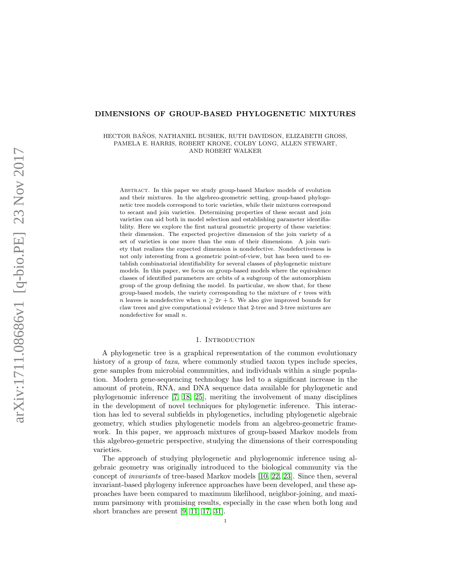#### DIMENSIONS OF GROUP-BASED PHYLOGENETIC MIXTURES

HECTOR BAÑOS, NATHANIEL BUSHEK, RUTH DAVIDSON, ELIZABETH GROSS, PAMELA E. HARRIS, ROBERT KRONE, COLBY LONG, ALLEN STEWART, AND ROBERT WALKER

Abstract. In this paper we study group-based Markov models of evolution and their mixtures. In the algebreo-geometric setting, group-based phylogenetic tree models correspond to toric varieties, while their mixtures correspond to secant and join varieties. Determining properties of these secant and join varieties can aid both in model selection and establishing parameter identifiability. Here we explore the first natural geometric property of these varieties: their dimension. The expected projective dimension of the join variety of a set of varieties is one more than the sum of their dimensions. A join variety that realizes the expected dimension is nondefective. Nondefectiveness is not only interesting from a geometric point-of-view, but has been used to establish combinatorial identifiability for several classes of phylogenetic mixture models. In this paper, we focus on group-based models where the equivalence classes of identified parameters are orbits of a subgroup of the automorphism group of the group defining the model. In particular, we show that, for these group-based models, the variety corresponding to the mixture of  $r$  trees with n leaves is nondefective when  $n \geq 2r + 5$ . We also give improved bounds for claw trees and give computational evidence that 2-tree and 3-tree mixtures are nondefective for small  $n$ .

## 1. INTRODUCTION

A phylogenetic tree is a graphical representation of the common evolutionary history of a group of taxa, where commonly studied taxon types include species, gene samples from microbial communities, and individuals within a single population. Modern gene-sequencing technology has led to a significant increase in the amount of protein, RNA, and DNA sequence data available for phylogenetic and phylogenomic inference [\[7,](#page-22-0) [18,](#page-22-1) [25\]](#page-22-2), meriting the involvement of many disciplines in the development of novel techniques for phylogenetic inference. This interaction has led to several subfields in phylogenetics, including phylogenetic algebraic geometry, which studies phylogenetic models from an algebreo-geometric framework. In this paper, we approach mixtures of group-based Markov models from this algebreo-gemetric perspective, studying the dimensions of their corresponding varieties.

The approach of studying phylogenetic and phylogenomic inference using algebraic geometry was originally introduced to the biological community via the concept of invariants of tree-based Markov models [\[10,](#page-22-3) [22,](#page-22-4) [23\]](#page-22-5). Since then, several invariant-based phylogeny inference approaches have been developed, and these approaches have been compared to maximum likelihood, neighbor-joining, and maximum parsimony with promising results, especially in the case when both long and short branches are present [\[9,](#page-22-6) [11,](#page-22-7) [17,](#page-22-8) [31\]](#page-23-0).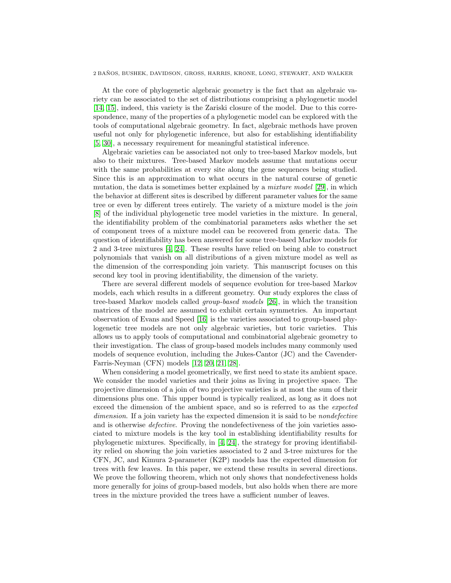At the core of phylogenetic algebraic geometry is the fact that an algebraic variety can be associated to the set of distributions comprising a phylogenetic model [\[14,](#page-22-9) [15\]](#page-22-10), indeed, this variety is the Zariski closure of the model. Due to this correspondence, many of the properties of a phylogenetic model can be explored with the tools of computational algebraic geometry. In fact, algebraic methods have proven useful not only for phylogenetic inference, but also for establishing identifiability [\[5,](#page-22-11) [30\]](#page-23-1), a necessary requirement for meaningful statistical inference.

Algebraic varieties can be associated not only to tree-based Markov models, but also to their mixtures. Tree-based Markov models assume that mutations occur with the same probabilities at every site along the gene sequences being studied. Since this is an approximation to what occurs in the natural course of genetic mutation, the data is sometimes better explained by a mixture model [\[29\]](#page-23-2), in which the behavior at different sites is described by different parameter values for the same tree or even by different trees entirely. The variety of a mixture model is the join [\[8\]](#page-22-12) of the individual phylogenetic tree model varieties in the mixture. In general, the identifiability problem of the combinatorial parameters asks whether the set of component trees of a mixture model can be recovered from generic data. The question of identifiability has been answered for some tree-based Markov models for 2 and 3-tree mixtures [\[4,](#page-22-13) [24\]](#page-22-14). These results have relied on being able to construct polynomials that vanish on all distributions of a given mixture model as well as the dimension of the corresponding join variety. This manuscript focuses on this second key tool in proving identifiability, the dimension of the variety.

There are several different models of sequence evolution for tree-based Markov models, each which results in a different geometry. Our study explores the class of tree-based Markov models called group-based models [\[26\]](#page-23-3), in which the transition matrices of the model are assumed to exhibit certain symmetries. An important observation of Evans and Speed [\[16\]](#page-22-15) is the varieties associated to group-based phylogenetic tree models are not only algebraic varieties, but toric varieties. This allows us to apply tools of computational and combinatorial algebraic geometry to their investigation. The class of group-based models includes many commonly used models of sequence evolution, including the Jukes-Cantor (JC) and the Cavender-Farris-Neyman (CFN) models [\[12,](#page-22-16) [20,](#page-22-17) [21,](#page-22-18) [28\]](#page-23-4).

When considering a model geometrically, we first need to state its ambient space. We consider the model varieties and their joins as living in projective space. The projective dimension of a join of two projective varieties is at most the sum of their dimensions plus one. This upper bound is typically realized, as long as it does not exceed the dimension of the ambient space, and so is referred to as the *expected* dimension. If a join variety has the expected dimension it is said to be *nondefective* and is otherwise defective. Proving the nondefectiveness of the join varieties associated to mixture models is the key tool in establishing identifiability results for phylogenetic mixtures. Specifically, in [\[4,](#page-22-13) [24\]](#page-22-14), the strategy for proving identifiability relied on showing the join varieties associated to 2 and 3-tree mixtures for the CFN, JC, and Kimura 2-parameter (K2P) models has the expected dimension for trees with few leaves. In this paper, we extend these results in several directions. We prove the following theorem, which not only shows that nondefectiveness holds more generally for joins of group-based models, but also holds when there are more trees in the mixture provided the trees have a sufficient number of leaves.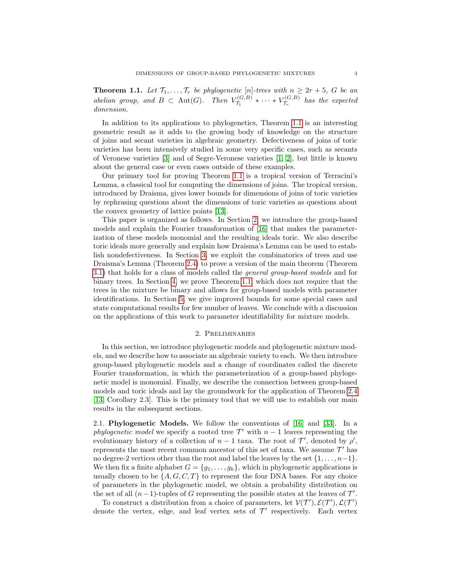<span id="page-2-0"></span>**Theorem 1.1.** Let  $\mathcal{T}_1, \ldots, \mathcal{T}_r$  be phylogenetic [n]-trees with  $n \geq 2r + 5$ , G be an abelian group, and  $B \subset \text{Aut}(G)$ . Then  $V_{\tau}^{(G,B)}$  $\tau_{1}^{(G,B)} \ast \cdots \ast V_{\mathcal{T}_r}^{(G,B)}$  $\tau_{r}^{(G,D)}$  has the expected dimension.

In addition to its applications to phylogenetics, Theorem [1.1](#page-2-0) is an interesting geometric result as it adds to the growing body of knowledge on the structure of joins and secant varieties in algebraic geometry. Defectiveness of joins of toric varieties has been intensively studied in some very specific cases, such as secants of Veronese varieties [\[3\]](#page-22-19) and of Segre-Veronese varieties [\[1,](#page-22-20) [2\]](#page-22-21), but little is known about the general case or even cases outside of these examples.

Our primary tool for proving Theorem [1.1](#page-2-0) is a tropical version of Terracini's Lemma, a classical tool for computing the dimensions of joins. The tropical version, introduced by Draisma, gives lower bounds for dimensions of joins of toric varieties by rephrasing questions about the dimensions of toric varieties as questions about the convex geometry of lattice points [\[13\]](#page-22-22).

This paper is organized as follows. In Section [2,](#page-2-1) we introduce the group-based models and explain the Fourier transformation of [\[16\]](#page-22-15) that makes the parameterization of these models monomial and the resulting ideals toric. We also describe toric ideals more generally and explain how Draisma's Lemma can be used to establish nondefectiveness. In Section [3,](#page-10-0) we exploit the combinatorics of trees and use Draisma's Lemma (Theorem [2.4\)](#page-10-1) to prove a version of the main theorem (Theorem [3.1\)](#page-11-0) that holds for a class of models called the general group-based models and for binary trees. In Section [4,](#page-16-0) we prove Theorem [1.1,](#page-2-0) which does not require that the trees in the mixture be binary and allows for group-based models with parameter identifications. In Section [5,](#page-18-0) we give improved bounds for some special cases and state computational results for few number of leaves. We conclude with a discussion on the applications of this work to parameter identifiability for mixture models.

#### 2. Preliminaries

<span id="page-2-1"></span>In this section, we introduce phylogenetic models and phylogenetic mixture models, and we describe how to associate an algebraic variety to each. We then introduce group-based phylogenetic models and a change of coordinates called the discrete Fourier transformation, in which the parameterization of a group-based phylogenetic model is monomial. Finally, we describe the connection between group-based models and toric ideals and lay the groundwork for the application of Theorem [2.4](#page-10-1) [\[13,](#page-22-22) Corollary 2.3]. This is the primary tool that we will use to establish our main results in the subsequent sections.

2.1. Phylogenetic Models. We follow the conventions of [\[16\]](#page-22-15) and [\[33\]](#page-23-5). In a phylogenetic model we specify a rooted tree  $\mathcal{T}'$  with  $n-1$  leaves representing the evolutionary history of a collection of  $n-1$  taxa. The root of  $\mathcal{T}'$ , denoted by  $\rho'$ , represents the most recent common ancestor of this set of taxa. We assume  $\mathcal{T}'$  has no degree-2 vertices other than the root and label the leaves by the set  $\{1, \ldots, n-1\}$ . We then fix a finite alphabet  $G = \{g_1, \ldots, g_k\}$ , which in phylogenetic applications is usually chosen to be  $\{A, G, C, T\}$  to represent the four DNA bases. For any choice of parameters in the phylogenetic model, we obtain a probability distribution on the set of all  $(n-1)$ -tuples of G representing the possible states at the leaves of  $\mathcal{T}'$ .

To construct a distribution from a choice of parameters, let  $V(\mathcal{T}', \mathcal{E}(\mathcal{T}'), \mathcal{L}(\mathcal{T}'))$ denote the vertex, edge, and leaf vertex sets of  $\mathcal{T}'$  respectively. Each vertex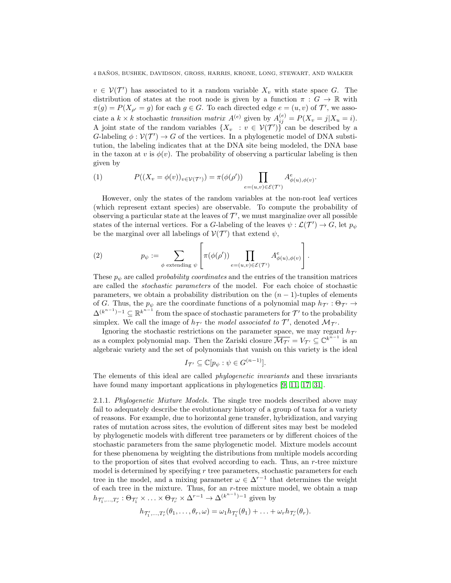$v \in V(\mathcal{T}')$  has associated to it a random variable  $X_v$  with state space G. The distribution of states at the root node is given by a function  $\pi : G \to \mathbb{R}$  with  $\pi(g) = P(X_{\rho'} = g)$  for each  $g \in G$ . To each directed edge  $e = (u, v)$  of  $\mathcal{T}'$ , we associate a  $k \times k$  stochastic transition matrix  $A^{(e)}$  given by  $A_{ij}^{(e)} = P(X_v = j | X_u = i)$ . A joint state of the random variables  $\{X_v : v \in V(\mathcal{T}')\}$  can be described by a G-labeling  $\phi: \mathcal{V}(\mathcal{T}') \to G$  of the vertices. In a phylogenetic model of DNA substitution, the labeling indicates that at the DNA site being modeled, the DNA base in the taxon at v is  $\phi(v)$ . The probability of observing a particular labeling is then given by

(1) 
$$
P((X_v = \phi(v))_{v \in \mathcal{V}(\mathcal{T}')} ) = \pi(\phi(\rho')) \prod_{e=(u,v) \in \mathcal{E}(\mathcal{T}')} A^e_{\phi(u), \phi(v)}.
$$

However, only the states of the random variables at the non-root leaf vertices (which represent extant species) are observable. To compute the probability of observing a particular state at the leaves of  $\mathcal{T}'$ , we must marginalize over all possible states of the internal vertices. For a G-labeling of the leaves  $\psi : \mathcal{L}(\mathcal{T}') \to G$ , let  $p_{\psi}$ be the marginal over all labelings of  $V(\mathcal{T}')$  that extend  $\psi$ ,

(2) 
$$
p_{\psi} := \sum_{\phi \text{ extending } \psi} \left[ \pi(\phi(\rho')) \prod_{e=(u,v) \in \mathcal{E}(\mathcal{T}')} A^e_{\phi(u),\phi(v)} \right].
$$

These  $p_{\psi}$  are called *probability coordinates* and the entries of the transition matrices are called the stochastic parameters of the model. For each choice of stochastic parameters, we obtain a probability distribution on the  $(n - 1)$ -tuples of elements of G. Thus, the  $p_{\psi}$  are the coordinate functions of a polynomial map  $h_{\mathcal{T}} : \Theta_{\mathcal{T}} \to$  $\Delta^{(k^{n-1})-1} \subseteq \mathbb{R}^{k^{n-1}}$  from the space of stochastic parameters for  $\mathcal{T}'$  to the probability simplex. We call the image of  $h_{\mathcal{T}}$  the model associated to  $\mathcal{T}'$ , denoted  $\mathcal{M}_{\mathcal{T}}$ .

Ignoring the stochastic restrictions on the parameter space, we may regard  $h_{\mathcal{T}}$ as a complex polynomial map. Then the Zariski closure  $\overline{\mathcal{M}_{\mathcal{T}'}} = V_{\mathcal{T}'} \subseteq \mathbb{C}^{k^{n-1}}$  is an algebraic variety and the set of polynomials that vanish on this variety is the ideal

$$
I_{\mathcal{T}'} \subseteq \mathbb{C}[p_{\psi} : \psi \in G^{(n-1)}].
$$

The elements of this ideal are called *phylogenetic invariants* and these invariants have found many important applications in phylogenetics [\[9,](#page-22-6) [11,](#page-22-7) [17,](#page-22-8) [31\]](#page-23-0).

2.1.1. Phylogenetic Mixture Models. The single tree models described above may fail to adequately describe the evolutionary history of a group of taxa for a variety of reasons. For example, due to horizontal gene transfer, hybridization, and varying rates of mutation across sites, the evolution of different sites may best be modeled by phylogenetic models with different tree parameters or by different choices of the stochastic parameters from the same phylogenetic model. Mixture models account for these phenomena by weighting the distributions from multiple models according to the proportion of sites that evolved according to each. Thus, an  $r$ -tree mixture model is determined by specifying  $r$  tree parameters, stochastic parameters for each tree in the model, and a mixing parameter  $\omega \in \Delta^{r-1}$  that determines the weight of each tree in the mixture. Thus, for an  $r$ -tree mixture model, we obtain a map  $h_{\mathcal{T}'_1,\dots,\mathcal{T}'_r}: \Theta_{\mathcal{T}'_1} \times \ldots \times \Theta_{\mathcal{T}'_r} \times \Delta^{r-1} \to \Delta^{(k^{n-1})-1}$  given by

$$
h_{\mathcal{T}'_1,\ldots,\mathcal{T}'_r}(\theta_1,\ldots,\theta_r,\omega)=\omega_1 h_{\mathcal{T}'_1}(\theta_1)+\ldots+\omega_r h_{\mathcal{T}'_r}(\theta_r).
$$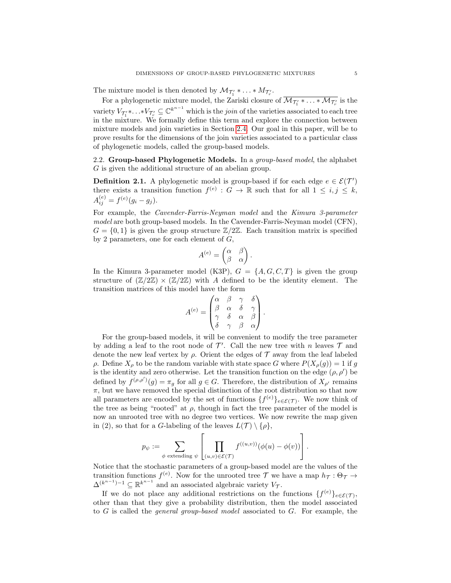The mixture model is then denoted by  $\mathcal{M}_{\mathcal{T}'_1} * \ldots * \mathcal{M}_{\mathcal{T}'_r}$ .

For a phylogenetic mixture model, the Zariski closure of  $\overline{\mathcal{M}_{\mathcal{T}'_1} * \ldots * \mathcal{M}_{\mathcal{T}'_r}}$  is the variety  $V_{\mathcal{T}_1'}^*$  . .  $*\overline{V_{\mathcal{T}_r'}} \subseteq \mathbb{C}^{k^{n-1}}$  which is the *join* of the varieties associated to each tree in the mixture. We formally define this term and explore the connection between mixture models and join varieties in Section [2.4.](#page-8-0) Our goal in this paper, will be to prove results for the dimensions of the join varieties associated to a particular class of phylogenetic models, called the group-based models.

2.2. Group-based Phylogenetic Models. In a group-based model, the alphabet G is given the additional structure of an abelian group.

**Definition 2.1.** A phylogenetic model is group-based if for each edge  $e \in \mathcal{E}(\mathcal{T}')$ there exists a transition function  $f^{(e)} : G \to \mathbb{R}$  such that for all  $1 \leq i, j \leq k$ ,  $A_{ij}^{(e)} = f^{(e)}(g_i - g_j).$ 

For example, the Cavender-Farris-Neyman model and the Kimura 3-parameter model are both group-based models. In the Cavender-Farris-Neyman model (CFN),  $G = \{0,1\}$  is given the group structure  $\mathbb{Z}/2\mathbb{Z}$ . Each transition matrix is specified by 2 parameters, one for each element of  $G$ ,

$$
A^{(e)} = \begin{pmatrix} \alpha & \beta \\ \beta & \alpha \end{pmatrix}.
$$

In the Kimura 3-parameter model (K3P),  $G = \{A, G, C, T\}$  is given the group structure of  $(\mathbb{Z}/2\mathbb{Z}) \times (\mathbb{Z}/2\mathbb{Z})$  with A defined to be the identity element. The transition matrices of this model have the form

$$
A^{(e)} = \begin{pmatrix} \alpha & \beta & \gamma & \delta \\ \beta & \alpha & \delta & \gamma \\ \gamma & \delta & \alpha & \beta \\ \delta & \gamma & \beta & \alpha \end{pmatrix}.
$$

For the group-based models, it will be convenient to modify the tree parameter by adding a leaf to the root node of  $\mathcal{T}'$ . Call the new tree with n leaves  $\mathcal T$  and denote the new leaf vertex by  $\rho$ . Orient the edges of  $\mathcal T$  away from the leaf labeled ρ. Define  $X_\rho$  to be the random variable with state space G where  $P(X_\rho(g)) = 1$  if g is the identity and zero otherwise. Let the transition function on the edge  $(\rho, \rho')$  be defined by  $f^{(\rho,\rho')}(g) = \pi_g$  for all  $g \in G$ . Therefore, the distribution of  $X_{\rho'}$  remains  $\pi$ , but we have removed the special distinction of the root distribution so that now all parameters are encoded by the set of functions  $\{f^{(e)}\}_{e \in \mathcal{E}(\mathcal{T})}$ . We now think of the tree as being "rooted" at  $\rho$ , though in fact the tree parameter of the model is now an unrooted tree with no degree two vertices. We now rewrite the map given in (2), so that for a G-labeling of the leaves  $L(\mathcal{T}) \setminus {\rho},$ 

$$
p_{\psi} := \sum_{\phi \text{ extending } \psi} \left[ \prod_{(u,v) \in \mathcal{E}(\mathcal{T})} f^{((u,v))}(\phi(u) - \phi(v)) \right].
$$

Notice that the stochastic parameters of a group-based model are the values of the transition functions  $f^{(e)}$ . Now for the unrooted tree T we have a map  $h_{\mathcal{T}}: \Theta_{\mathcal{T}} \to$  $\Delta^{(k^{n-1})-1} \subseteq \mathbb{R}^{k^{n-1}}$  and an associated algebraic variety  $V_{\mathcal{T}}$ .

If we do not place any additional restrictions on the functions  $\{f^{(e)}\}_{e \in \mathcal{E}(\mathcal{T})}$ , other than that they give a probability distribution, then the model associated to  $G$  is called the *general group-based model* associated to  $G$ . For example, the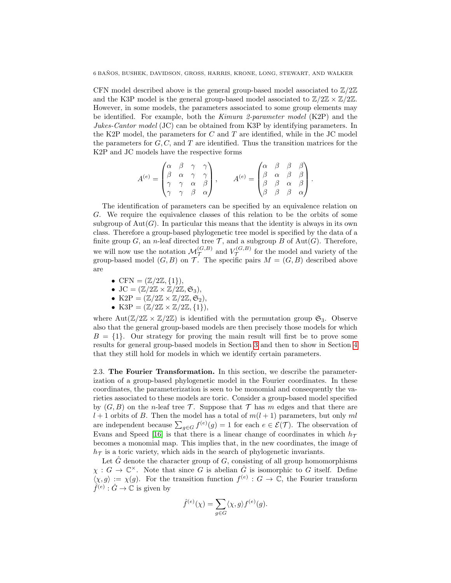CFN model described above is the general group-based model associated to  $\mathbb{Z}/2\mathbb{Z}$ and the K3P model is the general group-based model associated to  $\mathbb{Z}/2\mathbb{Z} \times \mathbb{Z}/2\mathbb{Z}$ . However, in some models, the parameters associated to some group elements may be identified. For example, both the Kimura 2-parameter model (K2P) and the Jukes-Cantor model (JC) can be obtained from K3P by identifying parameters. In the K2P model, the parameters for  $C$  and  $T$  are identified, while in the JC model the parameters for  $G, C$ , and  $T$  are identified. Thus the transition matrices for the K2P and JC models have the respective forms

$$
A^{(e)} = \begin{pmatrix} \alpha & \beta & \gamma & \gamma \\ \beta & \alpha & \gamma & \gamma \\ \gamma & \gamma & \alpha & \beta \\ \gamma & \gamma & \beta & \alpha \end{pmatrix}, \qquad A^{(e)} = \begin{pmatrix} \alpha & \beta & \beta & \beta \\ \beta & \alpha & \beta & \beta \\ \beta & \beta & \alpha & \beta \\ \beta & \beta & \beta & \alpha \end{pmatrix}.
$$

The identification of parameters can be specified by an equivalence relation on G. We require the equivalence classes of this relation to be the orbits of some subgroup of  $Aut(G)$ . In particular this means that the identity is always in its own class. Therefore a group-based phylogenetic tree model is specified by the data of a finite group G, an *n*-leaf directed tree  $\mathcal{T}$ , and a subgroup B of Aut(G). Therefore, we will now use the notation  $\mathcal{M}_{\mathcal{T}}^{(G,B)}$  and  $V_{\mathcal{T}}^{(G,B)}$  $\mathcal{T}^{(G,B)}$  for the model and variety of the group-based model  $(G, B)$  on T. The specific pairs  $M = (G, B)$  described above are

- CFN  $= (\mathbb{Z}/2\mathbb{Z}, \{1\}),$
- JC =  $(\mathbb{Z}/2\mathbb{Z} \times \mathbb{Z}/2\mathbb{Z}, \mathfrak{S}_3)$ ,
- K2P =  $(\mathbb{Z}/2\mathbb{Z} \times \mathbb{Z}/2\mathbb{Z}, \mathfrak{S}_2),$
- K3P =  $(\mathbb{Z}/2\mathbb{Z} \times \mathbb{Z}/2\mathbb{Z}, \{1\}),$

where Aut $(\mathbb{Z}/2\mathbb{Z} \times \mathbb{Z}/2\mathbb{Z})$  is identified with the permutation group  $\mathfrak{S}_3$ . Observe also that the general group-based models are then precisely those models for which  $B = \{1\}$ . Our strategy for proving the main result will first be to prove some results for general group-based models in Section [3](#page-10-0) and then to show in Section [4](#page-16-0) that they still hold for models in which we identify certain parameters.

2.3. The Fourier Transformation. In this section, we describe the parameterization of a group-based phylogenetic model in the Fourier coordinates. In these coordinates, the parameterization is seen to be monomial and consequently the varieties associated to these models are toric. Consider a group-based model specified by  $(G, B)$  on the *n*-leaf tree T. Suppose that T has m edges and that there are  $l + 1$  orbits of B. Then the model has a total of  $m(l + 1)$  parameters, but only ml are independent because  $\sum_{g \in G} f^{(e)}(g) = 1$  for each  $e \in \mathcal{E}(\mathcal{T})$ . The observation of Evans and Speed [\[16\]](#page-22-15) is that there is a linear change of coordinates in which  $h_{\mathcal{T}}$ becomes a monomial map. This implies that, in the new coordinates, the image of  $h<sub>T</sub>$  is a toric variety, which aids in the search of phylogenetic invariants.

Let  $\hat{G}$  denote the character group of  $G$ , consisting of all group homomorphisms  $\chi : G \to \mathbb{C}^\times$ . Note that since G is abelian  $\hat{G}$  is isomorphic to G itself. Define  $\langle \chi, g \rangle := \chi(g)$ . For the transition function  $f^{(e)} : G \to \mathbb{C}$ , the Fourier transform  $\hat{f}^{(e)} : \hat{G} \to \mathbb{C}$  is given by

$$
\hat{f}^{(e)}(\chi) = \sum_{g \in G} \langle \chi, g \rangle f^{(e)}(g).
$$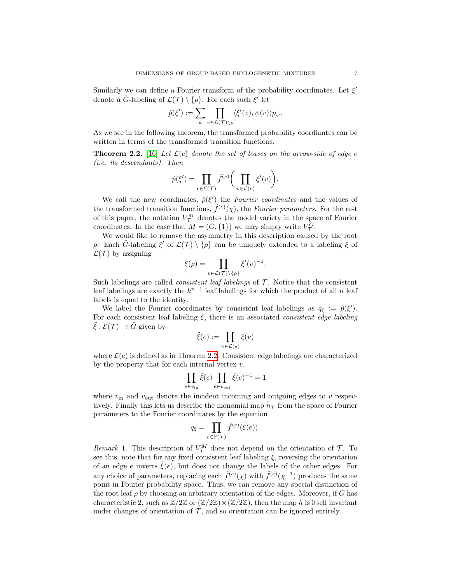Similarly we can define a Fourier transform of the probability coordinates. Let  $\xi'$ denote a  $\hat{G}$ -labeling of  $\mathcal{L}(\mathcal{T}) \setminus {\rho}.$  For each such  $\xi'$  let

$$
\hat{p}(\xi') := \sum_{\psi} \prod_{v \in \mathcal{L}(\mathcal{T}) \setminus \rho} \langle \xi'(v), \psi(v) \rangle p_{\psi}.
$$

As we see in the following theorem, the transformed probability coordinates can be written in terms of the transformed transition functions.

<span id="page-6-0"></span>**Theorem 2.2.** [\[16\]](#page-22-15) Let  $\mathcal{L}(e)$  denote the set of leaves on the arrow-side of edge  $e$ (i.e. its descendants). Then

$$
\hat{p}(\xi') = \prod_{e \in \mathcal{E}(\mathcal{T})} \hat{f}^{(e)} \bigg( \prod_{v \in \mathcal{L}(e)} \xi'(v) \bigg).
$$

We call the new coordinates,  $\hat{p}(\xi')$  the Fourier coordinates and the values of the transformed transition functions,  $\hat{f}^{(e)}(\chi)$ , the Fourier parameters. For the rest of this paper, the notation  $V_{\mathcal{T}}^M$  denotes the model variety in the space of Fourier coordinates. In the case that  $M = (G, \{1\})$  we may simply write  $V^G_{\mathcal{T}}$ .

We would like to remove the asymmetry in this description caused by the root ρ. Each  $\hat{G}$ -labeling  $\xi'$  of  $\mathcal{L}(\mathcal{T}) \setminus {\rho}$  can be uniquely extended to a labeling  $\xi$  of  $\mathcal{L}(\mathcal{T})$  by assigning

$$
\xi(\rho) = \prod_{v \in \mathcal{L}(\mathcal{T}) \setminus \{\rho\}} \xi'(v)^{-1}.
$$

Such labelings are called *consistent leaf labelings* of  $\mathcal T$ . Notice that the consistent leaf labelings are exactly the  $k^{n-1}$  leaf labelings for which the product of all n leaf labels is equal to the identity.

We label the Fourier coordinates by consistent leaf labelings as  $q_{\xi} := \hat{p}(\xi')$ . For each consistent leaf labeling  $\xi$ , there is an associated *consistent edge labeling*  $\tilde{\xi}: \mathcal{E}(\mathcal{T}) \to \hat{G}$  given by

$$
\tilde{\xi}(e) := \prod_{v \in \mathcal{L}(e)} \xi(v)
$$

where  $\mathcal{L}(e)$  is defined as in Theorem [2.2.](#page-6-0) Consistent edge labelings are characterized by the property that for each internal vertex  $v$ ,

$$
\prod_{e \in v_{\text{in}}} \tilde{\xi}(e) \prod_{e \in v_{\text{out}}} \tilde{\xi}(e)^{-1} = 1
$$

where  $v_{\text{in}}$  and  $v_{\text{out}}$  denote the incident incoming and outgoing edges to v respectively. Finally this lets us describe the monomial map  $\hat{h}_{\mathcal{T}}$  from the space of Fourier parameters to the Fourier coordinates by the equation

$$
q_{\xi} = \prod_{e \in \mathcal{E}(\mathcal{T})} \hat{f}^{(e)}(\tilde{\xi}(e)).
$$

Remark 1. This description of  $V_{\mathcal{T}}^M$  does not depend on the orientation of  $\mathcal{T}$ . To see this, note that for any fixed consistent leaf labeling  $\xi$ , reversing the orientation of an edge e inverts  $\tilde{\xi}(e)$ , but does not change the labels of the other edges. For any choice of parameters, replacing each  $\hat{f}^{(e)}(\chi)$  with  $\hat{f}^{(e)}(\chi^{-1})$  produces the same point in Fourier probability space. Thus, we can remove any special distinction of the root leaf  $\rho$  by choosing an arbitrary orientation of the edges. Moreover, if G has characteristic 2, such as  $\mathbb{Z}/2\mathbb{Z}$  or  $(\mathbb{Z}/2\mathbb{Z})\times(\mathbb{Z}/2\mathbb{Z})$ , then the map  $\hat{h}$  is itself invariant under changes of orientation of  $\mathcal T$ , and so orientation can be ignored entirely.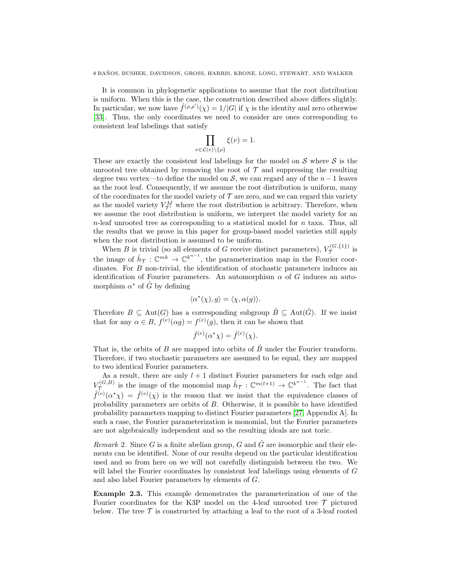It is common in phylogenetic applications to assume that the root distribution is uniform. When this is the case, the construction described above differs slightly. In particular, we now have  $\hat{f}^{(\rho,\rho')}(\chi) = 1/|G|$  if  $\chi$  is the identity and zero otherwise [\[33\]](#page-23-5). Thus, the only coordinates we need to consider are ones corresponding to consistent leaf labelings that satisfy

$$
\prod_{v \in \mathcal{L}(e) \setminus \{\rho\}} \xi(v) = 1.
$$

These are exactly the consistent leaf labelings for the model on  $S$  where  $S$  is the unrooted tree obtained by removing the root of  $\mathcal T$  and suppressing the resulting degree two vertex—to define the model on S, we can regard any of the  $n-1$  leaves as the root leaf. Consequently, if we assume the root distribution is uniform, many of the coordinates for the model variety of  $\mathcal T$  are zero, and we can regard this variety as the model variety  $V_{\mathcal{T}'}^M$  where the root distribution is arbitrary. Therefore, when we assume the root distribution is uniform, we interpret the model variety for an  $n$ -leaf unrooted tree as corresponding to a statistical model for  $n$  taxa. Thus, all the results that we prove in this paper for group-based model varieties still apply when the root distribution is assumed to be uniform.

When B is trivial (so all elements of G receive distinct parameters),  $V_{\tau}^{(G,\{1\})}$  $\tau(\mathcal{T}^{(G,\{1\})})$  is the image of  $\hat{h}_{\mathcal{T}}: \mathbb{C}^{mk} \to \mathbb{C}^{k^{n-1}}$ , the parameterization map in the Fourier coordinates. For B non-trivial, the identification of stochastic parameters induces an identification of Fourier parameters. An automorphism  $\alpha$  of G induces an automorphism  $\alpha^*$  of  $\hat{G}$  by defining

$$
\langle \alpha^*(\chi), g \rangle = \langle \chi, \alpha(g) \rangle.
$$

Therefore  $B \subseteq \text{Aut}(G)$  has a corresponding subgroup  $\hat{B} \subseteq \text{Aut}(\hat{G})$ . If we insist that for any  $\alpha \in B$ ,  $f^{(e)}(\alpha g) = f^{(e)}(g)$ , then it can be shown that

$$
\hat{f}^{(e)}(\alpha^*\chi) = \hat{f}^{(e)}(\chi).
$$

That is, the orbits of B are mapped into orbits of  $\hat{B}$  under the Fourier transform. Therefore, if two stochastic parameters are assumed to be equal, they are mapped to two identical Fourier parameters.

As a result, there are only  $l + 1$  distinct Fourier parameters for each edge and  $V_{\mathcal{T}}^{(G,B)}$  $\tau^{(G,B)}$  is the image of the monomial map  $\hat{h}_{\mathcal{T}}: \mathbb{C}^{m(l+1)} \to \mathbb{C}^{k^{n-1}}$ . The fact that  $\hat{f}^{(e)}(\alpha^*\chi) = \hat{f}^{(e)}(\chi)$  is the reason that we insist that the equivalence classes of probability parameters are orbits of  $B$ . Otherwise, it is possible to have identified probability parameters mapping to distinct Fourier parameters [\[27,](#page-23-6) Appendix A]. In such a case, the Fourier parameterization is monomial, but the Fourier parameters are not algebraically independent and so the resulting ideals are not toric.

*Remark* 2. Since G is a finite abelian group, G and  $\hat{G}$  are isomorphic and their elements can be identified. None of our results depend on the particular identification used and so from here on we will not carefully distinguish between the two. We will label the Fourier coordinates by consistent leaf labelings using elements of G and also label Fourier parameters by elements of G.

Example 2.3. This example demonstrates the parameterization of one of the Fourier coordinates for the K3P model on the 4-leaf unrooted tree  $\mathcal T$  pictured below. The tree  $\mathcal T$  is constructed by attaching a leaf to the root of a 3-leaf rooted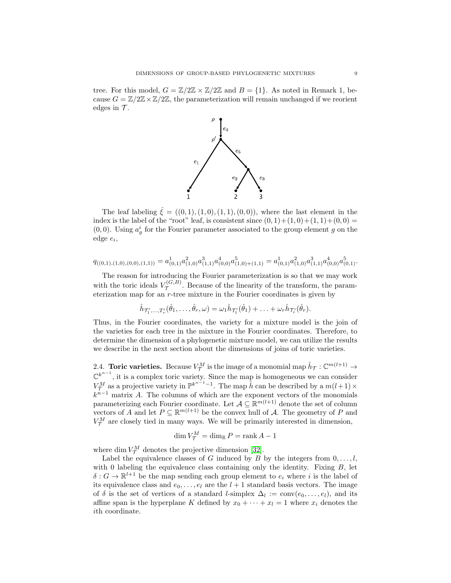tree. For this model,  $G = \mathbb{Z}/2\mathbb{Z} \times \mathbb{Z}/2\mathbb{Z}$  and  $B = \{1\}$ . As noted in Remark 1, because  $G = \mathbb{Z}/2\mathbb{Z} \times \mathbb{Z}/2\mathbb{Z}$ , the parameterization will remain unchanged if we reorient edges in  $\mathcal{T}$ .



The leaf labeling  $\hat{\xi} = ((0,1), (1,0), (1,1), (0,0))$ , where the last element in the index is the label of the "root" leaf, is consistent since  $(0, 1)+(1, 0)+(1, 1)+(0, 0)$  =  $(0,0)$ . Using  $a_g^i$  for the Fourier parameter associated to the group element g on the  $edge e_i,$ 

$$
q_{((0,1),(1,0),(0,0),(1,1))} = a_{(0,1)}^1 a_{(1,0)}^2 a_{(1,1)}^3 a_{(0,0)}^4 a_{(1,0)+(1,1)}^5 = a_{(0,1)}^1 a_{(1,0)}^2 a_{(1,1)}^3 a_{(0,0)}^4 a_{(0,1)}^5.
$$

The reason for introducing the Fourier parameterization is so that we may work with the toric ideals  $V_{\mathcal{T}}^{(G,B)}$  $\mathcal{T}^{(G,D)}$ . Because of the linearity of the transform, the parameterization map for an  $r$ -tree mixture in the Fourier coordinates is given by

$$
\hat{h}_{\mathcal{T}'_1,\ldots,\mathcal{T}'_r}(\hat{\theta}_1,\ldots,\hat{\theta}_r,\omega)=\omega_1\hat{h}_{\mathcal{T}'_1}(\hat{\theta}_1)+\ldots+\omega_r\hat{h}_{\mathcal{T}'_r}(\hat{\theta}_r).
$$

Thus, in the Fourier coordinates, the variety for a mixture model is the join of the varieties for each tree in the mixture in the Fourier coordinates. Therefore, to determine the dimension of a phylogenetic mixture model, we can utilize the results we describe in the next section about the dimensions of joins of toric varieties.

<span id="page-8-0"></span>2.4. **Toric varieties.** Because  $V^M_\mathcal{T}$  is the image of a monomial map  $\hat{h}_\mathcal{T}: \mathbb{C}^{m(l+1)} \to$  $\mathbb{C}^{k^{n-1}}$ , it is a complex toric variety. Since the map is homogeneous we can consider  $V_{\mathcal{T}}^{M}$  as a projective variety in  $\mathbb{P}^{k^{n-1}-1}$ . The map  $\hat{h}$  can be described by a  $m(l+1) \times$  $k^{n-1}$  matrix A. The columns of which are the exponent vectors of the monomials parameterizing each Fourier coordinate. Let  $A \subseteq \mathbb{R}^{m(l+1)}$  denote the set of column vectors of A and let  $P \subseteq \mathbb{R}^{m(l+1)}$  be the convex hull of A. The geometry of P and  $V_{\mathcal{T}}^{M}$  are closely tied in many ways. We will be primarily interested in dimension,

$$
\dim V^M_{\mathcal{T}} = \dim_{\mathbb{R}} P = \operatorname{rank} A - 1
$$

where dim  $V_{\mathcal{T}}^{M}$  denotes the projective dimension [\[32\]](#page-23-7).

Label the equivalence classes of G induced by B by the integers from  $0, \ldots, l$ , with 0 labeling the equivalence class containing only the identity. Fixing  $B$ , let  $\delta: G \to \mathbb{R}^{l+1}$  be the map sending each group element to  $e_i$  where i is the label of its equivalence class and  $e_0, \ldots, e_l$  are the  $l + 1$  standard basis vectors. The image of  $\delta$  is the set of vertices of a standard *l*-simplex  $\Delta_l := \text{conv}(e_0, \ldots, e_l)$ , and its affine span is the hyperplane K defined by  $x_0 + \cdots + x_l = 1$  where  $x_i$  denotes the ith coordinate.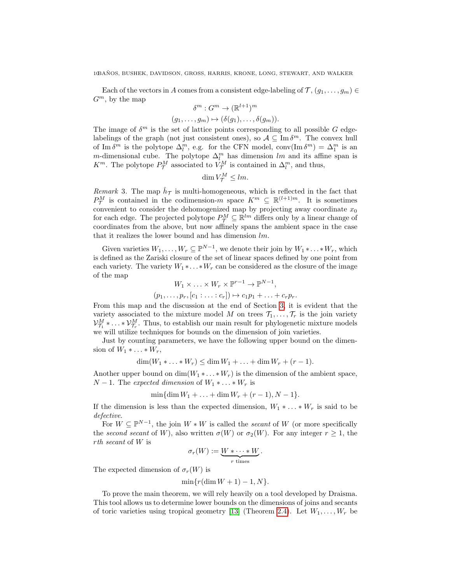Each of the vectors in A comes from a consistent edge-labeling of  $\mathcal{T}, (g_1, \ldots, g_m) \in$  $G^m$ , by the map

$$
\delta^m : G^m \to (\mathbb{R}^{l+1})^m
$$
  

$$
(g_1, \ldots, g_m) \mapsto (\delta(g_1), \ldots, \delta(g_m)).
$$

The image of  $\delta^m$  is the set of lattice points corresponding to all possible G edgelabelings of the graph (not just consistent ones), so  $\mathcal{A} \subseteq \text{Im } \delta^m$ . The convex hull of Im  $\delta^m$  is the polytope  $\Delta_l^m$ , e.g. for the CFN model, conv $(\text{Im } \delta^m) = \Delta_l^m$  is an m-dimensional cube. The polytope  $\Delta_l^m$  has dimension lm and its affine span is  $K^m$ . The polytope  $P^M_{\mathcal{T}}$  associated to  $V^M_{\mathcal{T}}$  is contained in  $\Delta^m_l$ , and thus,

$$
\dim V^M_{\mathcal{T}} \leq lm.
$$

Remark 3. The map  $\hat{h}_{\mathcal{T}}$  is multi-homogeneous, which is reflected in the fact that  $P^M_{\mathcal{T}}$  is contained in the codimension-m space  $K^m \subseteq \mathbb{R}^{(l+1)m}$ . It is sometimes convenient to consider the dehomogenized map by projecting away coordinate  $x_0$ for each edge. The projected polytope  $P_{\mathcal{T}}^M \subseteq \mathbb{R}^{lm}$  differs only by a linear change of coordinates from the above, but now affinely spans the ambient space in the case that it realizes the lower bound and has dimension lm.

Given varieties  $W_1, \ldots, W_r \subseteq \mathbb{P}^{N-1}$ , we denote their join by  $W_1 * \ldots * W_r$ , which is defined as the Zariski closure of the set of linear spaces defined by one point from each variety. The variety  $W_1 * \ldots * W_r$  can be considered as the closure of the image of the map

$$
W_1 \times \ldots \times W_r \times \mathbb{P}^{r-1} \to \mathbb{P}^{N-1},
$$
  

$$
(p_1, \ldots, p_r, [c_1 : \ldots : c_r]) \mapsto c_1 p_1 + \ldots + c_r p_r.
$$

From this map and the discussion at the end of Section [3,](#page-10-0) it is evident that the variety associated to the mixture model M on trees  $\mathcal{T}_1, \ldots, \mathcal{T}_r$  is the join variety  $\mathcal{V}_{\mathcal{T}_1}^M * \ldots * \mathcal{V}_{\mathcal{T}_r}^M$ . Thus, to establish our main result for phylogenetic mixture models we will utilize techniques for bounds on the dimension of join varieties.

Just by counting parameters, we have the following upper bound on the dimension of  $W_1 * \ldots * W_r$ ,

$$
\dim(W_1*\ldots*W_r)\leq \dim W_1+\ldots+\dim W_r+(r-1).
$$

Another upper bound on  $\dim(W_1 * \ldots * W_r)$  is the dimension of the ambient space,  $N-1$ . The expected dimension of  $W_1 * \ldots * W_r$  is

$$
\min{\dim W_1 + \ldots + \dim W_r + (r-1), N-1}
$$
.

If the dimension is less than the expected dimension,  $W_1 * \ldots * W_r$  is said to be defective.

For  $W \subseteq \mathbb{P}^{N-1}$ , the join  $W * W$  is called the *secant* of W (or more specifically the second secant of W), also written  $\sigma(W)$  or  $\sigma_2(W)$ . For any integer  $r \geq 1$ , the rth secant of W is

$$
\sigma_r(W) := \underbrace{W * \cdots * W}_{r \text{ times}}.
$$

The expected dimension of  $\sigma_r(W)$  is

$$
\min\{r(\dim W + 1) - 1, N\}.
$$

To prove the main theorem, we will rely heavily on a tool developed by Draisma. This tool allows us to determine lower bounds on the dimensions of joins and secants of toric varieties using tropical geometry [\[13\]](#page-22-22) (Theorem [2.4\)](#page-10-1). Let  $W_1, \ldots, W_r$  be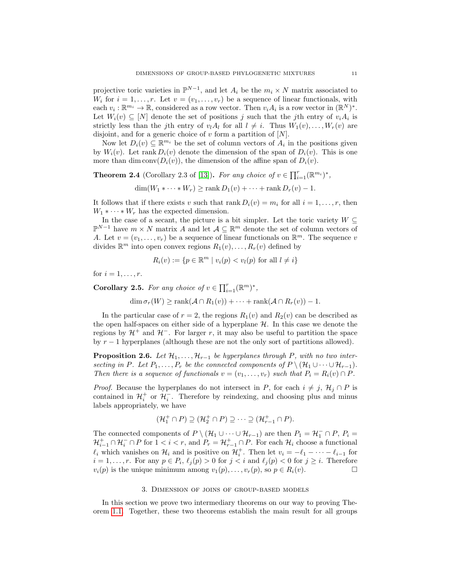projective toric varieties in  $\mathbb{P}^{N-1}$ , and let  $A_i$  be the  $m_i \times N$  matrix associated to  $W_i$  for  $i = 1, \ldots, r$ . Let  $v = (v_1, \ldots, v_r)$  be a sequence of linear functionals, with each  $v_i : \mathbb{R}^{m_i} \to \mathbb{R}$ , considered as a row vector. Then  $v_i A_i$  is a row vector in  $(\mathbb{R}^N)^*$ . Let  $W_i(v) \subseteq [N]$  denote the set of positions j such that the jth entry of  $v_i A_i$  is strictly less than the jth entry of  $v_lA_l$  for all  $l \neq i$ . Thus  $W_1(v), \ldots, W_r(v)$  are disjoint, and for a generic choice of v form a partition of  $[N]$ .

Now let  $D_i(v) \subseteq \mathbb{R}^{m_i}$  be the set of column vectors of  $A_i$  in the positions given by  $W_i(v)$ . Let rank  $D_i(v)$  denote the dimension of the span of  $D_i(v)$ . This is one more than dim conv $(D_i(v))$ , the dimension of the affine span of  $D_i(v)$ .

<span id="page-10-1"></span>**Theorem 2.4** (Corollary 2.3 of [\[13\]](#page-22-22)). For any choice of  $v \in \prod_{i=1}^r (\mathbb{R}^{m_i})^*$ ,

$$
\dim(W_1 * \cdots * W_r) \ge \operatorname{rank} D_1(v) + \cdots + \operatorname{rank} D_r(v) - 1.
$$

It follows that if there exists v such that rank  $D_i(v) = m_i$  for all  $i = 1, \ldots, r$ , then  $W_1 * \cdots * W_r$  has the expected dimension.

In the case of a secant, the picture is a bit simpler. Let the toric variety  $W \subseteq$  $\mathbb{P}^{N-1}$  have  $m \times N$  matrix A and let  $\mathcal{A} \subseteq \mathbb{R}^m$  denote the set of column vectors of A. Let  $v = (v_1, \ldots, v_r)$  be a sequence of linear functionals on  $\mathbb{R}^m$ . The sequence v divides  $\mathbb{R}^m$  into open convex regions  $R_1(v), \ldots, R_r(v)$  defined by

$$
R_i(v) := \{ p \in \mathbb{R}^m \mid v_i(p) < v_l(p) \text{ for all } l \neq i \}
$$

for  $i = 1, \ldots, r$ .

**Corollary 2.5.** For any choice of  $v \in \prod_{i=1}^r (\mathbb{R}^m)^*$ ,

 $\dim \sigma_r(W)$  > rank $(A \cap R_1(v)) + \cdots +$  rank $(A \cap R_r(v)) - 1$ .

In the particular case of  $r = 2$ , the regions  $R_1(v)$  and  $R_2(v)$  can be described as the open half-spaces on either side of a hyperplane  $H$ . In this case we denote the regions by  $\mathcal{H}^+$  and  $\mathcal{H}^-$ . For larger r, it may also be useful to partition the space by  $r-1$  hyperplanes (although these are not the only sort of partitions allowed).

<span id="page-10-2"></span>**Proposition 2.6.** Let  $\mathcal{H}_1, \ldots, \mathcal{H}_{r-1}$  be hyperplanes through P, with no two intersecting in P. Let  $P_1, \ldots, P_r$  be the connected components of  $P \setminus (\mathcal{H}_1 \cup \cdots \cup \mathcal{H}_{r-1})$ . Then there is a sequence of functionals  $v = (v_1, \ldots, v_r)$  such that  $P_i = R_i(v) \cap P$ .

*Proof.* Because the hyperplanes do not intersect in P, for each  $i \neq j$ ,  $\mathcal{H}_i \cap P$  is contained in  $\mathcal{H}_i^+$  or  $\mathcal{H}_i^-$ . Therefore by reindexing, and choosing plus and minus labels appropriately, we have

$$
(\mathcal{H}_1^+ \cap P) \supseteq (\mathcal{H}_2^+ \cap P) \supseteq \cdots \supseteq (\mathcal{H}_{r-1}^+ \cap P).
$$

The connected components of  $P \setminus (\mathcal{H}_1 \cup \cdots \cup \mathcal{H}_{r-1})$  are then  $P_1 = \mathcal{H}_1^- \cap P$ ,  $P_i =$  $\mathcal{H}_{i-1}^+ \cap \mathcal{H}_i^- \cap P$  for  $1 < i < r$ , and  $P_r = \mathcal{H}_{r-1}^+ \cap P$ . For each  $\mathcal{H}_i$  choose a functional  $\ell_i$  which vanishes on  $\mathcal{H}_i$  and is positive on  $\mathcal{H}_i^+$ . Then let  $v_i = -\ell_1 - \cdots - \ell_{i-1}$  for  $i = 1, \ldots, r$ . For any  $p \in P_i$ ,  $\ell_j(p) > 0$  for  $j < i$  and  $\ell_j(p) < 0$  for  $j \geq i$ . Therefore  $v_i(p)$  is the unique minimum among  $v_1(p), \ldots, v_r(p)$ , so  $p \in R_i(v)$ .

#### 3. Dimension of joins of group-based models

<span id="page-10-0"></span>In this section we prove two intermediary theorems on our way to proving Theorem [1.1.](#page-2-0) Together, these two theorems establish the main result for all groups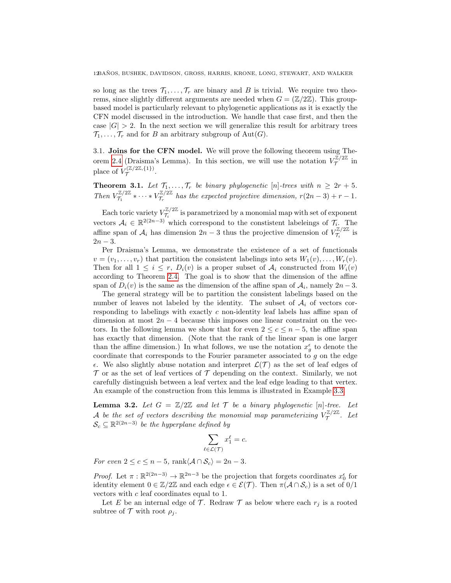so long as the trees  $\mathcal{T}_1, \ldots, \mathcal{T}_r$  are binary and B is trivial. We require two theorems, since slightly different arguments are needed when  $G = (\mathbb{Z}/2\mathbb{Z})$ . This groupbased model is particularly relevant to phylogenetic applications as it is exactly the CFN model discussed in the introduction. We handle that case first, and then the case  $|G| > 2$ . In the next section we will generalize this result for arbitrary trees  $\mathcal{T}_1, \ldots, \mathcal{T}_r$  and for B an arbitrary subgroup of Aut(G).

3.1. Joins for the CFN model. We will prove the following theorem using The-orem [2.4](#page-10-1) (Draisma's Lemma). In this section, we will use the notation  $V^{\mathbb{Z}/2\mathbb{Z}}_{\mathcal{T}}$  $\int_{\tau}^{\frac{\pi}{2}}$  in place of  $V_{\tau}^{(\mathbb{Z}/2\mathbb{Z},\{1\})}$ r(4/24,{1}).<br>T

<span id="page-11-0"></span>**Theorem 3.1.** Let  $\mathcal{T}_1, \ldots, \mathcal{T}_r$  be binary phylogenetic [n]-trees with  $n \geq 2r + 5$ . Then  $V_{\tau_1}^{\mathbb{Z}/2\mathbb{Z}}$  $\tau_1^{\mathbb{Z}/2\mathbb{Z}} * \cdots * V_{\mathcal{T}_r}^{\mathbb{Z}/2\mathbb{Z}}$  $T_r^{\mu/2\mu}$  has the expected projective dimension,  $r(2n-3) + r - 1$ .

Each toric variety  $V^{\mathbb{Z}/2\mathbb{Z}}_{\mathcal{I}}$  $T_i^{\mathbb{Z}/2\mathbb{Z}}$  is parametrized by a monomial map with set of exponent vectors  $A_i \in \mathbb{R}^{2(2n-3)}$  which correspond to the constistent labeleings of  $\mathcal{T}_i$ . The affine span of  $\mathcal{A}_i$  has dimension  $2n-3$  thus the projective dimension of  $V_{\mathcal{I}_i}^{\mathbb{Z}/2\mathbb{Z}}$  $\frac{\tau_{\mu}/2\pi}{\tau_i}$  is  $2n - 3$ .

Per Draisma's Lemma, we demonstrate the existence of a set of functionals  $v = (v_1, \ldots, v_r)$  that partition the consistent labelings into sets  $W_1(v), \ldots, W_r(v)$ . Then for all  $1 \leq i \leq r$ ,  $D_i(v)$  is a proper subset of  $\mathcal{A}_i$  constructed from  $W_i(v)$ according to Theorem [2.4.](#page-10-1) The goal is to show that the dimension of the affine span of  $D_i(v)$  is the same as the dimension of the affine span of  $A_i$ , namely  $2n-3$ .

The general strategy will be to partition the consistent labelings based on the number of leaves not labeled by the identity. The subset of  $A_i$  of vectors corresponding to labelings with exactly c non-identity leaf labels has affine span of dimension at most  $2n - 4$  because this imposes one linear constraint on the vectors. In the following lemma we show that for even  $2 \leq c \leq n-5$ , the affine span has exactly that dimension. (Note that the rank of the linear span is one larger than the affine dimension.) In what follows, we use the notation  $x_g^{\epsilon}$  to denote the coordinate that corresponds to the Fourier parameter associated to  $g$  on the edge  $\epsilon$ . We also slightly abuse notation and interpret  $\mathcal{L}(\mathcal{T})$  as the set of leaf edges of  $\mathcal T$  or as the set of leaf vertices of  $\mathcal T$  depending on the context. Similarly, we not carefully distinguish between a leaf vertex and the leaf edge leading to that vertex. An example of the construction from this lemma is illustrated in Example [3.3.](#page-13-0)

<span id="page-11-1"></span>**Lemma 3.2.** Let  $G = \mathbb{Z}/2\mathbb{Z}$  and let  $\mathcal T$  be a binary phylogenetic [n]-tree. Let A be the set of vectors describing the monomial map parameterizing  $V^{\mathbb{Z}/2\mathbb{Z}}_{\mathcal{T}}$  $\tau^{\mathbb{Z}/2\mathbb{Z}}$ . Let  $\mathcal{S}_c \subseteq \mathbb{R}^{2(2n-3)}$  be the hyperplane defined by

$$
\sum_{\ell\in\mathcal{L}(\mathcal{T})}x_1^{\ell}=c.
$$

For even  $2 \leq c \leq n-5$ , rank $\langle A \cap S_c \rangle = 2n-3$ .

*Proof.* Let  $\pi : \mathbb{R}^{2(2n-3)} \to \mathbb{R}^{2n-3}$  be the projection that forgets coordinates  $x_0^{\epsilon}$  for identity element  $0 \in \mathbb{Z}/2\mathbb{Z}$  and each edge  $\epsilon \in \mathcal{E}(\mathcal{T})$ . Then  $\pi(\mathcal{A} \cap \mathcal{S}_c)$  is a set of  $0/1$ vectors with c leaf coordinates equal to 1.

Let E be an internal edge of T. Redraw T as below where each  $r_i$  is a rooted subtree of  $\mathcal T$  with root  $\rho_i$ .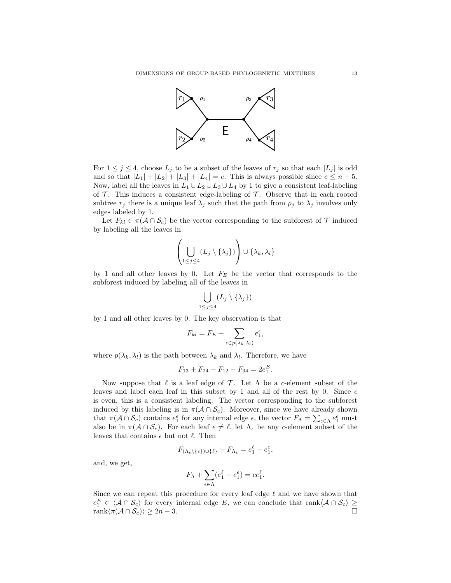

For  $1 \leq j \leq 4$ , choose  $L_j$  to be a subset of the leaves of  $r_j$  so that each  $|L_j|$  is odd and so that  $|L_1| + |L_2| + |L_3| + |L_4| = c$ . This is always possible since  $c \leq n - 5$ . Now, label all the leaves in  $L_1 \cup L_2 \cup L_3 \cup L_4$  by 1 to give a consistent leaf-labeling of  $\mathcal T$ . This induces a consistent edge-labeling of  $\mathcal T$ . Observe that in each rooted subtree  $r_j$  there is a unique leaf  $\lambda_j$  such that the path from  $\rho_j$  to  $\lambda_j$  involves only edges labeled by 1.

Let  $F_{kl} \in \pi(\mathcal{A} \cap \mathcal{S}_c)$  be the vector corresponding to the subforest of  $\mathcal{T}$  induced by labeling all the leaves in

$$
\left(\bigcup_{1\leq j\leq 4} (L_j\setminus\{\lambda_j\})\right)\cup\{\lambda_k,\lambda_l\}
$$

by 1 and all other leaves by 0. Let  $F_E$  be the vector that corresponds to the subforest induced by labeling all of the leaves in

$$
\bigcup_{1\leq j\leq 4}(L_j\setminus\{\lambda_j\})
$$

by 1 and all other leaves by 0. The key observation is that

$$
F_{kl} = F_E + \sum_{\epsilon \in p(\lambda_k, \lambda_l)} e_1^{\epsilon},
$$

where  $p(\lambda_k, \lambda_l)$  is the path between  $\lambda_k$  and  $\lambda_l$ . Therefore, we have

$$
F_{13} + F_{24} - F_{12} - F_{34} = 2e_1^E.
$$

Now suppose that  $\ell$  is a leaf edge of  $\mathcal T$ . Let  $\Lambda$  be a c-element subset of the leaves and label each leaf in this subset by 1 and all of the rest by 0. Since c is even, this is a consistent labeling. The vector corresponding to the subforest induced by this labeling is in  $\pi(A \cap S_c)$ . Moreover, since we have already shown that  $\pi(A \cap S_c)$  contains  $e_1^{\epsilon}$  for any internal edge  $\epsilon$ , the vector  $F_{\Lambda} = \sum_{\epsilon \in \Lambda} e_1^{\epsilon}$  must also be in  $\pi(A \cap S_c)$ . For each leaf  $\epsilon \neq \ell$ , let  $\Lambda_{\epsilon}$  be any c-element subset of the leaves that contains  $\epsilon$  but not  $\ell$ . Then

$$
F_{(\Lambda_{\epsilon}\backslash\{\epsilon\})\cup\{\ell\}} - F_{\Lambda_{\epsilon}} = e_1^{\ell} - e_1^{\epsilon},
$$

and, we get,

$$
F_{\Lambda} + \sum_{\epsilon \in \Lambda} (e_1^{\ell} - e_1^{\epsilon}) = c e_1^{\ell}.
$$

Since we can repeat this procedure for every leaf edge  $\ell$  and we have shown that  $e_1^E \in \langle A \cap S_c \rangle$  for every internal edge E, we can conclude that  $rank\langle A \cap S_c \rangle \ge$  $rank\langle \pi(\mathcal{A} \cap \mathcal{S}_c) \rangle \geq 2n-3.$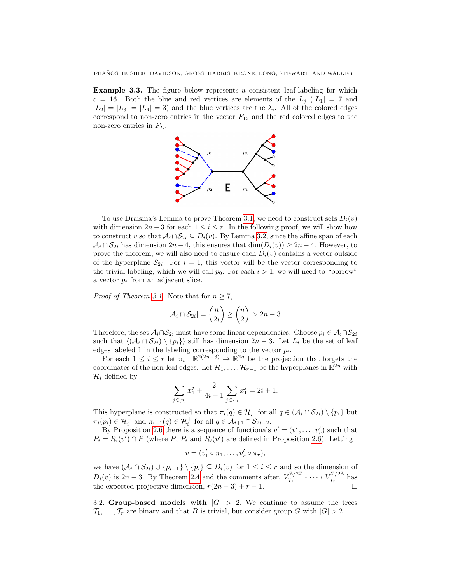14BAÑOS, BUSHEK, DAVIDSON, GROSS, HARRIS, KRONE, LONG, STEWART, AND WALKER

<span id="page-13-0"></span>Example 3.3. The figure below represents a consistent leaf-labeling for which  $c = 16$ . Both the blue and red vertices are elements of the  $L_j$  ( $|L_1| = 7$  and  $|L_2| = |L_3| = |L_4| = 3$  and the blue vertices are the  $\lambda_i$ . All of the colored edges correspond to non-zero entries in the vector  $F_{12}$  and the red colored edges to the non-zero entries in  $F_E$ .



To use Draisma's Lemma to prove Theorem [3.1,](#page-11-0) we need to construct sets  $D_i(v)$ with dimension  $2n-3$  for each  $1 \leq i \leq r$ . In the following proof, we will show how to construct v so that  $A_i \cap S_{2i} \subseteq D_i(v)$ . By Lemma [3.2,](#page-11-1) since the affine span of each  $\mathcal{A}_i \cap \mathcal{S}_{2i}$  has dimension  $2n-4$ , this ensures that  $\dim(D_i(v)) \geq 2n-4$ . However, to prove the theorem, we will also need to ensure each  $D_i(v)$  contains a vector outside of the hyperplane  $S_{2i}$ . For  $i = 1$ , this vector will be the vector corresponding to the trivial labeling, which we will call  $p_0$ . For each  $i > 1$ , we will need to "borrow" a vector  $p_i$  from an adjacent slice.

*Proof of Theorem [3.1.](#page-11-0)* Note that for  $n \geq 7$ ,

$$
|\mathcal{A}_i \cap \mathcal{S}_{2i}| = \binom{n}{2i} \ge \binom{n}{2} > 2n - 3.
$$

Therefore, the set  $A_i \cap S_{2i}$  must have some linear dependencies. Choose  $p_i \in A_i \cap S_{2i}$ such that  $\langle (A_i \cap S_{2i}) \setminus \{p_i\} \rangle$  still has dimension  $2n-3$ . Let  $L_i$  be the set of leaf edges labeled 1 in the labeling corresponding to the vector  $p_i$ .

For each  $1 \leq i \leq r$  let  $\pi_i : \mathbb{R}^{2(2n-3)} \to \mathbb{R}^{2n}$  be the projection that forgets the coordinates of the non-leaf edges. Let  $\mathcal{H}_1, \ldots, \mathcal{H}_{r-1}$  be the hyperplanes in  $\mathbb{R}^{2n}$  with  $\mathcal{H}_i$  defined by

$$
\sum_{j \in [n]} x_1^j + \frac{2}{4i - 1} \sum_{j \in L_i} x_1^j = 2i + 1.
$$

This hyperplane is constructed so that  $\pi_i(q) \in \mathcal{H}_i^-$  for all  $q \in (\mathcal{A}_i \cap \mathcal{S}_{2i}) \setminus \{p_i\}$  but  $\pi_i(p_i) \in \mathcal{H}_i^+$  and  $\pi_{i+1}(q) \in \mathcal{H}_i^+$  for all  $q \in \mathcal{A}_{i+1} \cap \mathcal{S}_{2i+2}$ .

By Proposition [2.6](#page-10-2) there is a sequence of functionals  $v' = (v'_1, \ldots, v'_r)$  such that  $P_i = R_i(v') \cap P$  (where P,  $P_i$  and  $R_i(v')$  are defined in Proposition [2.6\)](#page-10-2). Letting

$$
v=(v'_1\circ\pi_1,\ldots,v'_r\circ\pi_r),
$$

we have  $(\mathcal{A}_i \cap \mathcal{S}_{2i}) \cup \{p_{i-1}\} \setminus \{p_i\} \subseteq D_i(v)$  for  $1 \leq i \leq r$  and so the dimension of  $D_i(v)$  is 2n − 3. By Theorem [2.4](#page-10-1) and the comments after,  $V_{\tau_1}^{\mathbb{Z}/2\mathbb{Z}}$  $\tau_1^{\mathbb{Z}/2\mathbb{Z}} * \cdots * V_{\mathcal{T}_r}^{\mathbb{Z}/2\mathbb{Z}}$  $\tau_r^{\frac{\mu}{2}}$  has the expected projective dimension,  $r(2n-3) + r - 1$ .

3.2. Group-based models with  $|G| > 2$ . We continue to assume the trees  $\mathcal{T}_1, \ldots, \mathcal{T}_r$  are binary and that B is trivial, but consider group G with  $|G| > 2$ .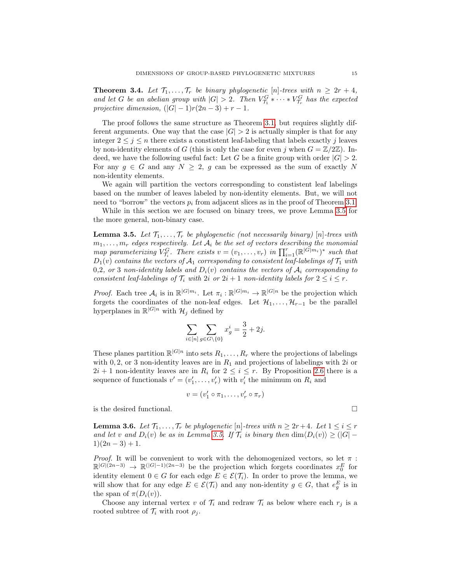<span id="page-14-2"></span>**Theorem 3.4.** Let  $\mathcal{T}_1, \ldots, \mathcal{T}_r$  be binary phylogenetic [n]-trees with  $n \geq 2r + 4$ , and let G be an abelian group with  $|G| > 2$ . Then  $V_{\tau_1}^G * \cdots * V_{\tau_r}^G$  has the expected projective dimension,  $(|G| - 1)r(2n - 3) + r - 1$ .

The proof follows the same structure as Theorem [3.1,](#page-11-0) but requires slightly different arguments. One way that the case  $|G| > 2$  is actually simpler is that for any integer  $2 \leq j \leq n$  there exists a constistent leaf-labeling that labels exactly j leaves by non-identity elements of G (this is only the case for even j when  $G = \mathbb{Z}/2\mathbb{Z}$ ). Indeed, we have the following useful fact: Let G be a finite group with order  $|G| > 2$ . For any  $g \in G$  and any  $N \geq 2$ , g can be expressed as the sum of exactly N non-identity elements.

We again will partition the vectors corresponding to constistent leaf labelings based on the number of leaves labeled by non-identity elements. But, we will not need to "borrow" the vectors  $p_i$  from adjacent slices as in the proof of Theorem [3.1.](#page-11-0)

While in this section we are focused on binary trees, we prove Lemma [3.5](#page-14-0) for the more general, non-binary case.

<span id="page-14-0"></span>**Lemma 3.5.** Let  $\mathcal{T}_1, \ldots, \mathcal{T}_r$  be phylogenetic (not necessarily binary) [n]-trees with  $m_1, \ldots, m_r$  edges respectively. Let  $A_i$  be the set of vectors describing the monomial map parameterizing  $V_{\tau_i}^G$ . There exists  $v = (v_1, \ldots, v_r)$  in  $\prod_{i=1}^r (\mathbb{R}^{|G|m_i})^*$  such that  $D_1(v)$  contains the vectors of  $\mathcal{A}_1$  corresponding to consistent leaf-labelings of  $\mathcal{T}_1$  with 0,2, or 3 non-identity labels and  $D_i(v)$  contains the vectors of  $A_i$  corresponding to consistent leaf-labelings of  $\mathcal{T}_i$  with  $2i$  or  $2i + 1$  non-identity labels for  $2 \leq i \leq r$ .

*Proof.* Each tree  $A_i$  is in  $\mathbb{R}^{|G|m_i}$ . Let  $\pi_i : \mathbb{R}^{|G|m_i} \to \mathbb{R}^{|G|n}$  be the projection which forgets the coordinates of the non-leaf edges. Let  $\mathcal{H}_1, \ldots, \mathcal{H}_{r-1}$  be the parallel hyperplanes in  $\mathbb{R}^{|G|n}$  with  $\mathcal{H}_j$  defined by

$$
\sum_{i \in [n]} \sum_{g \in G \setminus \{0\}} x_g^i = \frac{3}{2} + 2j.
$$

These planes partition  $\mathbb{R}^{|G|n}$  into sets  $R_1, \ldots, R_r$  where the projections of labelings with 0, 2, or 3 non-identity leaves are in  $R_1$  and projections of labelings with 2i or  $2i + 1$  non-identity leaves are in  $R_i$  for  $2 \leq i \leq r$ . By Proposition [2.6](#page-10-2) there is a sequence of functionals  $v' = (v'_1, \ldots, v'_r)$  with  $v'_i$  the minimum on  $R_i$  and

$$
v = (v'_1 \circ \pi_1, \dots, v'_r \circ \pi_r)
$$

is the desired functional.

<span id="page-14-1"></span>**Lemma 3.6.** Let  $\mathcal{T}_1, \ldots, \mathcal{T}_r$  be phylogenetic [n]-trees with  $n \geq 2r+4$ . Let  $1 \leq i \leq r$ and let v and  $D_i(v)$  be as in Lemma [3.5.](#page-14-0) If  $\mathcal{T}_i$  is binary then  $\dim \langle D_i(v) \rangle \geq (|G| 1(2n-3)+1.$ 

*Proof.* It will be convenient to work with the dehomogenized vectors, so let  $\pi$ :  $\mathbb{R}^{|G|(2n-3)} \to \mathbb{R}^{|G|-1}(2n-3)$  be the projection which forgets coordinates  $x_0^E$  for identity element  $0 \in G$  for each edge  $E \in \mathcal{E}(\mathcal{T}_i)$ . In order to prove the lemma, we will show that for any edge  $E \in \mathcal{E}(\mathcal{T}_i)$  and any non-identity  $g \in G$ , that  $e_g^E$  is in the span of  $\pi(D_i(v))$ .

Choose any internal vertex v of  $\mathcal{T}_i$  and redraw  $\mathcal{T}_i$  as below where each  $r_j$  is a rooted subtree of  $\mathcal{T}_i$  with root  $\rho_i$ .

$$
\sqcup
$$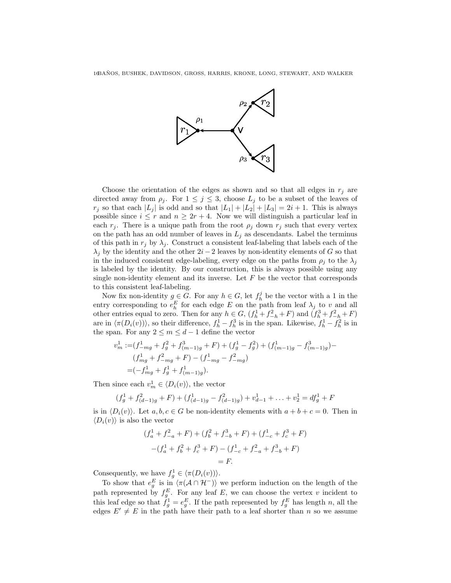

Choose the orientation of the edges as shown and so that all edges in  $r_i$  are directed away from  $\rho_i$ . For  $1 \leq j \leq 3$ , choose  $L_j$  to be a subset of the leaves of  $r_j$  so that each  $|L_j|$  is odd and so that  $|L_1| + |L_2| + |L_3| = 2i + 1$ . This is always possible since  $i \leq r$  and  $n \geq 2r + 4$ . Now we will distinguish a particular leaf in each  $r_j$ . There is a unique path from the root  $\rho_j$  down  $r_j$  such that every vertex on the path has an odd number of leaves in  $L_j$  as descendants. Label the terminus of this path in  $r_j$  by  $\lambda_j$ . Construct a consistent leaf-labeling that labels each of the  $\lambda_i$  by the identity and the other  $2i - 2$  leaves by non-identity elements of G so that in the induced consistent edge-labeling, every edge on the paths from  $\rho_j$  to the  $\lambda_j$ is labeled by the identity. By our construction, this is always possible using any single non-identity element and its inverse. Let  $F$  be the vector that corresponds to this consistent leaf-labeling.

Now fix non-identity  $g \in G$ . For any  $h \in G$ , let  $f_h^j$  be the vector with a 1 in the entry corresponding to  $e_h^E$  for each edge E on the path from leaf  $\lambda_j$  to v and all other entries equal to zero. Then for any  $h \in G$ ,  $(f_h^1 + f_{-h}^2 + F)$  and  $(f_h^3 + f_{-h}^2 + F)$ are in  $\langle \pi(D_i(v)) \rangle$ , so their difference,  $f_h^1 - f_h^3$  is in the span. Likewise,  $f_h^1 - f_h^2$  is in the span. For any  $2 \leq m \leq d-1$  define the vector

$$
v_m^1 := (f_{-mg}^1 + f_g^2 + f_{(m-1)g}^3 + F) + (f_g^1 - f_g^2) + (f_{(m-1)g}^1 - f_{(m-1)g}^3) -
$$
  
\n
$$
(f_{mg}^1 + f_{-mg}^2 + F) - (f_{-mg}^1 - f_{-mg}^2)
$$
  
\n
$$
= (-f_{mg}^1 + f_g^1 + f_{(m-1)g}^1).
$$

Then since each  $v_m^1 \in \langle D_i(v) \rangle$ , the vector

$$
(f_g^1 + f_{(d-1)g}^2 + F) + (f_{(d-1)g}^1 - f_{(d-1)g}^2) + v_{d-1}^1 + \dots + v_2^1 = df_g^1 + F
$$

is in  $\langle D_i(v)\rangle$ . Let  $a, b, c \in G$  be non-identity elements with  $a + b + c = 0$ . Then in  $\langle D_i(v) \rangle$  is also the vector

$$
(f_a^1 + f_{-a}^2 + F) + (f_b^2 + f_{-b}^3 + F) + (f_{-c}^1 + f_c^3 + F)
$$

$$
-(f_a^1 + f_b^2 + f_c^3 + F) - (f_{-c}^1 + f_{-a}^2 + f_{-b}^3 + F)
$$

$$
= F.
$$

Consequently, we have  $f_g^1 \in \langle \pi(D_i(v)) \rangle$ .

To show that  $e_g^E$  is in  $\langle \pi(\mathcal{A} \cap \mathcal{H}^-) \rangle$  we perform induction on the length of the path represented by  $f_g^E$ . For any leaf E, we can choose the vertex v incident to this leaf edge so that  $f_g^1 = e_g^E$ . If the path represented by  $f_g^E$  has length n, all the edges  $E' \neq E$  in the path have their path to a leaf shorter than n so we assume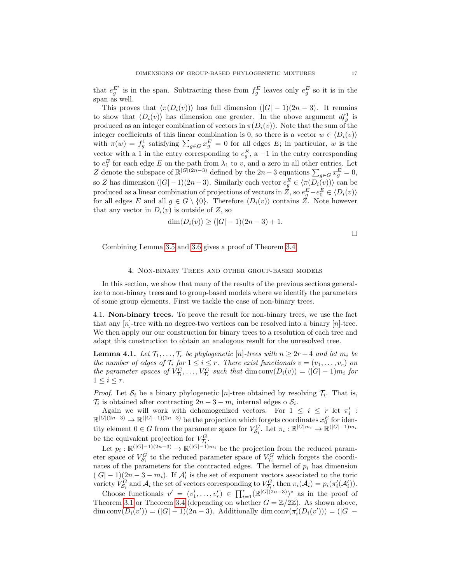that  $e_g^{E'}$  is in the span. Subtracting these from  $f_g^E$  leaves only  $e_g^E$  so it is in the span as well.

This proves that  $\langle \pi(D_i(v)) \rangle$  has full dimension  $(|G| - 1)(2n - 3)$ . It remains to show that  $\langle D_i(v) \rangle$  has dimension one greater. In the above argument  $df_g^1$  is produced as an integer combination of vectors in  $\pi(D_i(v))$ . Note that the sum of the integer coefficients of this linear combination is 0, so there is a vector  $w \in \langle D_i(v) \rangle$ with  $\pi(w) = f_g^1$  satisfying  $\sum_{g \in G} x_g^E = 0$  for all edges E; in particular, w is the vector with a 1 in the entry corresponding to  $e_g^E$ , a -1 in the entry corresponding to  $e_0^E$  for each edge E on the path from  $\lambda_1$  to v, and a zero in all other entries. Let Z denote the subspace of  $\mathbb{R}^{|G|(2n-3)}$  defined by the  $2n-3$  equations  $\sum_{g\in G} x_g^E = 0$ , so Z has dimension  $(|G|-1)(2n-3)$ . Similarly each vector  $e_g^E \in \langle \pi(D_i(v)) \rangle$  can be produced as a linear combination of projections of vectors in Z, so  $e_g^E - e_0^E \in \langle D_i(v) \rangle$ for all edges E and all  $g \in G \setminus \{0\}$ . Therefore  $\langle D_i(v) \rangle$  contains Z. Note however that any vector in  $D_i(v)$  is outside of Z, so

$$
\dim \langle D_i(v) \rangle \ge (|G|-1)(2n-3)+1.
$$

 $\Box$ 

Combining Lemma [3.5](#page-14-0) and [3.6](#page-14-1) gives a proof of Theorem [3.4.](#page-14-2)

## 4. Non-binary Trees and other group-based models

<span id="page-16-0"></span>In this section, we show that many of the results of the previous sections generalize to non-binary trees and to group-based models where we identify the parameters of some group elements. First we tackle the case of non-binary trees.

4.1. Non-binary trees. To prove the result for non-binary trees, we use the fact that any  $[n]$ -tree with no degree-two vertices can be resolved into a binary  $[n]$ -tree. We then apply our our construction for binary trees to a resolution of each tree and adapt this construction to obtain an analogous result for the unresolved tree.

<span id="page-16-1"></span>**Lemma 4.1.** Let  $\mathcal{T}_1, \ldots, \mathcal{T}_r$  be phylogenetic [n]-trees with  $n \geq 2r + 4$  and let  $m_i$  be the number of edges of  $\mathcal{T}_i$  for  $1 \leq i \leq r$ . There exist functionals  $v = (v_1, \ldots, v_r)$  on the parameter spaces of  $V_{\tau_1}^G, \ldots, V_{\tau_r}^G$  such that  $\dim \text{conv}(D_i(v)) = (|G| - 1)m_i$  for  $1 \leq i \leq r$ .

*Proof.* Let  $S_i$  be a binary phylogenetic [n]-tree obtained by resolving  $\mathcal{T}_i$ . That is,  $\mathcal{T}_i$  is obtained after contracting  $2n-3-m_i$  internal edges o  $\mathcal{S}_i$ .

Again we will work with dehomogenized vectors. For  $1 \leq i \leq r$  let  $\pi'_i$ :  $\mathbb{R}^{|G|(2n-3)} \to \mathbb{R}^{|G|-1)(2n-3)}$  be the projection which forgets coordinates  $x_0^E$  for identity element  $0 \in G$  from the parameter space for  $V_{S_i}^G$ . Let  $\pi_i : \mathbb{R}^{|G|m_i} \to \mathbb{R}^{|G|-1}$  $m_i$ be the equivalent projection for  $V_{\tau_i}^G$ .

Let  $p_i : \mathbb{R}^{(|G|-1)(2n-3)} \to \mathbb{R}^{(|G|-1)m_i}$  be the projection from the reduced parameter space of  $V_{\mathcal{S}_i}^G$  to the reduced parameter space of  $V_{\mathcal{T}_i}^G$  which forgets the coordinates of the parameters for the contracted edges. The kernel of  $p_i$  has dimension  $(|G| - 1)(2n - 3 - m_i)$ . If  $\mathcal{A}'_i$  is the set of exponent vectors associated to the toric variety  $V_{\mathcal{S}_i}^G$  and  $\mathcal{A}_i$  the set of vectors corresponding to  $V_{\mathcal{T}_i}^G$ , then  $\pi_i(\mathcal{A}_i) = p_i(\pi'_i(\mathcal{A}'_i))$ .

Choose functionals  $v' = (v'_1, \ldots, v'_r) \in \prod_{i=1}^r (\mathbb{R}^{|G|(2n-3)})^*$  as in the proof of Theorem [3.1](#page-11-0) or Theorem [3.4](#page-14-2) (depending on whether  $G = \mathbb{Z}/2\mathbb{Z}$ ). As shown above, dim conv $(D_i(v')) = (|G|-1)(2n-3)$ . Additionally dim conv $(\pi'_i(D_i(v'))) = (|G|-1)$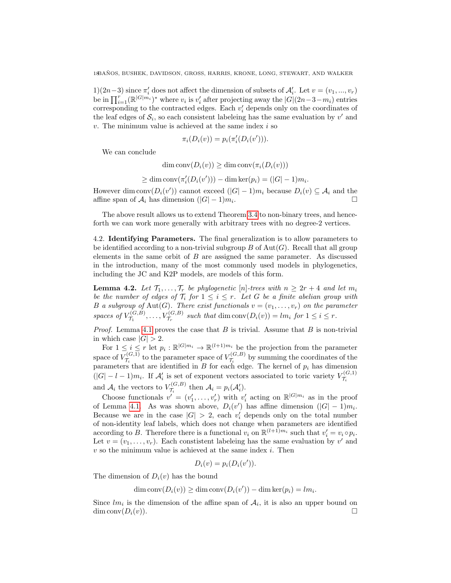1)(2*n*−3) since  $\pi'_i$  does not affect the dimension of subsets of  $\mathcal{A}'_i$ . Let  $v = (v_1, ..., v_r)$ be in  $\prod_{i=1}^r (\mathbb{R}^{|G|m_i})^*$  where  $v_i$  is  $v'_i$  after projecting away the  $|G|(2n-3-m_i)$  entries corresponding to the contracted edges. Each  $v_i'$  depends only on the coordinates of the leaf edges of  $S_i$ , so each consistent labeleing has the same evaluation by  $v'$  and  $v$ . The minimum value is achieved at the same index  $i$  so

$$
\pi_i(D_i(v)) = p_i(\pi'_i(D_i(v'))).
$$

We can conclude

$$
\dim \text{conv}(D_i(v)) \ge \dim \text{conv}(\pi_i(D_i(v)))
$$

$$
\geq \dim \text{conv}(\pi'_i(D_i(v'))) - \dim \text{ker}(p_i) = (|G| - 1)m_i.
$$

However dim conv $(D_i(v'))$  cannot exceed  $(|G|-1)m_i$  because  $D_i(v) \subseteq A_i$  and the affine span of  $\mathcal{A}_i$  has dimension  $(|G| - 1)m_i$ . .

The above result allows us to extend Theorem [3.4](#page-14-2) to non-binary trees, and henceforth we can work more generally with arbitrary trees with no degree-2 vertices.

4.2. Identifying Parameters. The final generalization is to allow parameters to be identified according to a non-trivial subgroup  $B$  of  $Aut(G)$ . Recall that all group elements in the same orbit of B are assigned the same parameter. As discussed in the introduction, many of the most commonly used models in phylogenetics, including the JC and K2P models, are models of this form.

<span id="page-17-0"></span>**Lemma 4.2.** Let  $\mathcal{T}_1, \ldots, \mathcal{T}_r$  be phylogenetic [n]-trees with  $n \geq 2r + 4$  and let  $m_i$ be the number of edges of  $\mathcal{T}_i$  for  $1 \leq i \leq r$ . Let G be a finite abelian group with B a subgroup of Aut(G). There exist functionals  $v = (v_1, \ldots, v_r)$  on the parameter spaces of  $V_{\tau_i}^{(G,B)}$  $V^{(G,B)}_{\mathcal{T}_1}, \ldots, V^{(G,B)}_{\mathcal{T}_r}$  such that  $\dim \text{conv}(D_i(v)) = lm_i$  for  $1 \leq i \leq r$ .

*Proof.* Lemma [4.1](#page-16-1) proves the case that  $B$  is trivial. Assume that  $B$  is non-trivial in which case  $|G| > 2$ .

For  $1 \leq i \leq r$  let  $p_i : \mathbb{R}^{|G|m_i|} \to \mathbb{R}^{(l+1)m_i}$  be the projection from the parameter space of  $V_{\tau_i}^{(G,1)}$  $\tau_i^{(G,1)}$  to the parameter space of  $V_{\mathcal{T}_i}^{(G,B)}$  $\mathcal{T}_i^{(G,B)}$  by summing the coordinates of the parameters that are identified in  $B$  for each edge. The kernel of  $p_i$  has dimension  $(|G|-l-1)m_i$ . If  $\mathcal{A}'_i$  is set of exponent vectors associated to toric variety  $V_{\mathcal{T}_i}^{(G,1)}$  $\tau_i$ and  $\mathcal{A}_i$  the vectors to  $V_{\mathcal{I}_i}^{(G,B)}$  $\mathcal{T}_i^{(G,B)}$  then  $\mathcal{A}_i = p_i(\mathcal{A}'_i)$ .

Choose functionals  $v' = (v'_1, \ldots, v'_r)$  with  $v'_i$  acting on  $\mathbb{R}^{|G|m_i|}$  as in the proof of Lemma [4.1.](#page-16-1) As was shown above,  $D_i(v')$  has affine dimension  $(|G|-1)m_i$ . Because we are in the case  $|G| > 2$ , each  $v_i'$  depends only on the total number of non-identity leaf labels, which does not change when parameters are identified according to B. Therefore there is a functional  $v_i$  on  $\mathbb{R}^{(l+1)m_i}$  such that  $v'_i = v_i \circ p_i$ . Let  $v = (v_1, \ldots, v_r)$ . Each constistent labeleing has the same evaluation by v' and  $v$  so the minimum value is achieved at the same index  $i$ . Then

$$
D_i(v) = p_i(D_i(v')).
$$

The dimension of  $D_i(v)$  has the bound

$$
\dim \text{conv}(D_i(v)) \ge \dim \text{conv}(D_i(v')) - \dim \text{ker}(p_i) = lm_i.
$$

Since  $lm_i$  is the dimension of the affine span of  $A_i$ , it is also an upper bound on  $\dim \text{conv}(D_i(v)).$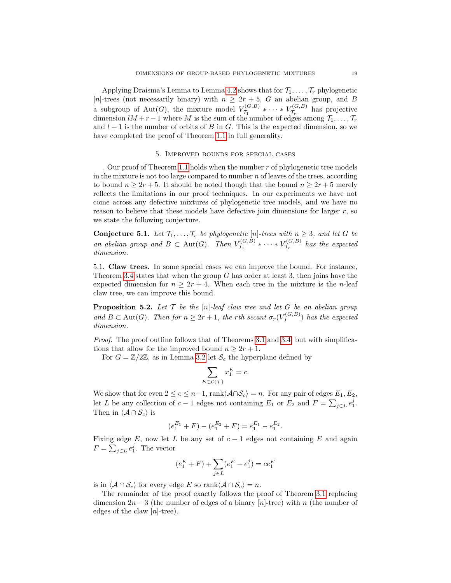Applying Draisma's Lemma to Lemma [4.2](#page-17-0) shows that for  $\mathcal{T}_1, \ldots, \mathcal{T}_r$  phylogenetic [n]-trees (not necessarily binary) with  $n \geq 2r + 5$ , G an abelian group, and B a subgroup of Aut(G), the mixture model  $V_{\tau_i}^{(G,B)}$  $\tau_{1}^{(G,B)} \ast \cdots \ast V_{\mathcal{T}_r}^{(G,B)}$  $\tau_r^{(G,D)}$  has projective dimension  $lM + r - 1$  where M is the sum of the number of edges among  $\mathcal{T}_1, \ldots, \mathcal{T}_r$ and  $l + 1$  is the number of orbits of B in G. This is the expected dimension, so we have completed the proof of Theorem [1.1](#page-2-0) in full generality.

#### 5. Improved bounds for special cases

<span id="page-18-0"></span>. Our proof of Theorem [1.1](#page-2-0) holds when the number  $r$  of phylogenetic tree models in the mixture is not too large compared to number  $n$  of leaves of the trees, according to bound  $n \geq 2r + 5$ . It should be noted though that the bound  $n \geq 2r + 5$  merely reflects the limitations in our proof techniques. In our experiments we have not come across any defective mixtures of phylogenetic tree models, and we have no reason to believe that these models have defective join dimensions for larger r, so we state the following conjecture.

<span id="page-18-1"></span>**Conjecture 5.1.** Let  $\mathcal{T}_1, \ldots, \mathcal{T}_r$  be phylogenetic [n]-trees with  $n \geq 3$ , and let G be an abelian group and  $B \subset \text{Aut}(G)$ . Then  $V_{\tau_i}^{(G,B)}$  $\tau_{1}^{(G,B)} * \cdots * V_{\mathcal{T}_{r}}^{(G,B)}$  $\mathcal{T}_r^{(G,D)}$  has the expected dimension.

5.1. Claw trees. In some special cases we can improve the bound. For instance, Theorem [3.4](#page-14-2) states that when the group  $G$  has order at least 3, then joins have the expected dimension for  $n > 2r + 4$ . When each tree in the mixture is the *n*-leaf claw tree, we can improve this bound.

<span id="page-18-2"></span>**Proposition 5.2.** Let  $T$  be the  $[n]$ -leaf claw tree and let  $G$  be an abelian group and  $B \subset \text{Aut}(G)$ . Then for  $n \geq 2r + 1$ , the rth secant  $\sigma_r(V_{\mathcal{T}}^{(G,B)})$  $(\mathcal{T}^{(G,D)})$  has the expected dimension.

Proof. The proof outline follows that of Theorems [3.1](#page-11-0) and [3.4,](#page-14-2) but with simplifications that allow for the improved bound  $n \geq 2r + 1$ .

For  $G = \mathbb{Z}/2\mathbb{Z}$ , as in Lemma [3.2](#page-11-1) let  $\mathcal{S}_c$  the hyperplane defined by

$$
\sum_{E \in \mathcal{L}(\mathcal{T})} x_1^E = c.
$$

We show that for even  $2 \leq c \leq n-1$ , rank $\langle A \cap S_c \rangle = n$ . For any pair of edges  $E_1, E_2$ , let L be any collection of  $c-1$  edges not containing  $E_1$  or  $E_2$  and  $F = \sum_{j \in L} e_1^j$ . Then in  $\langle A \cap S_c \rangle$  is

$$
(e_1^{E_1} + F) - (e_1^{E_2} + F) = e_1^{E_1} - e_1^{E_2}.
$$

Fixing edge E, now let L be any set of  $c - 1$  edges not containing E and again  $F = \sum_{j \in L} e_1^j$ . The vector

$$
(e_1^E+F)+\sum_{j\in L}(e_1^E-e_1^j)=ce_1^E
$$

is in  $\langle A \cap S_c \rangle$  for every edge E so rank $\langle A \cap S_c \rangle = n$ .

The remainder of the proof exactly follows the proof of Theorem [3.1](#page-11-0) replacing dimension  $2n-3$  (the number of edges of a binary [n]-tree) with n (the number of edges of the claw  $[n]-tree$ .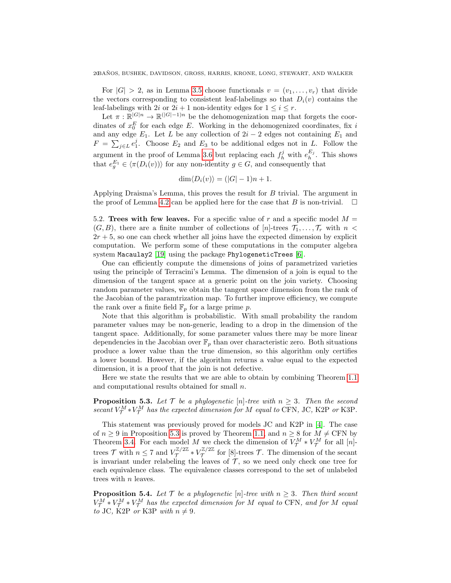For  $|G| > 2$ , as in Lemma [3.5](#page-14-0) choose functionals  $v = (v_1, \ldots, v_r)$  that divide the vectors corresponding to consistent leaf-labelings so that  $D_i(v)$  contains the leaf-labelings with 2i or  $2i + 1$  non-identity edges for  $1 \leq i \leq r$ .

Let  $\pi : \mathbb{R}^{|G|n} \to \mathbb{R}^{(|G|-1)n}$  be the dehomogenization map that forgets the coordinates of  $x_0^E$  for each edge E. Working in the dehomogenized coordinates, fix i and any edge  $E_1$ . Let L be any collection of  $2i - 2$  edges not containing  $E_1$  and  $F = \sum_{j \in L} e_1^j$ . Choose  $E_2$  and  $E_3$  to be additional edges not in L. Follow the argument in the proof of Lemma [3.6](#page-14-1) but replacing each  $f_h^j$  with  $e_h^{E_j}$ . This shows that  $e_g^{E_1} \in \langle \pi(D_i(v)) \rangle$  for any non-identity  $g \in G$ , and consequently that

$$
\dim \langle D_i(v) \rangle = (|G| - 1)n + 1.
$$

Applying Draisma's Lemma, this proves the result for B trivial. The argument in the proof of Lemma [4.2](#page-17-0) can be applied here for the case that B is non-trivial.  $\square$ 

5.2. Trees with few leaves. For a specific value of r and a specific model  $M =$  $(G, B)$ , there are a finite number of collections of  $[n]$ -trees  $\mathcal{T}_1, \ldots, \mathcal{T}_r$  with  $n <$  $2r + 5$ , so one can check whether all joins have the expected dimension by explicit computation. We perform some of these computations in the computer algebra system Macaulay2 [\[19\]](#page-22-23) using the package PhylogeneticTrees [\[6\]](#page-22-24).

One can efficiently compute the dimensions of joins of parametrized varieties using the principle of Terracini's Lemma. The dimension of a join is equal to the dimension of the tangent space at a generic point on the join variety. Choosing random parameter values, we obtain the tangent space dimension from the rank of the Jacobian of the paramtrization map. To further improve efficiency, we compute the rank over a finite field  $\mathbb{F}_p$  for a large prime p.

Note that this algorithm is probabilistic. With small probability the random parameter values may be non-generic, leading to a drop in the dimension of the tangent space. Additionally, for some parameter values there may be more linear dependencies in the Jacobian over  $\mathbb{F}_p$  than over characteristic zero. Both situations produce a lower value than the true dimension, so this algorithm only certifies a lower bound. However, if the algorithm returns a value equal to the expected dimension, it is a proof that the join is not defective.

Here we state the results that we are able to obtain by combining Theorem [1.1](#page-2-0) and computational results obtained for small n.

# <span id="page-19-0"></span>**Proposition 5.3.** Let  $\mathcal{T}$  be a phylogenetic [n]-tree with  $n \geq 3$ . Then the second secant  $V_{\mathcal{T}}^M * V_{\mathcal{T}}^M$  has the expected dimension for M equal to CFN, JC, K2P or K3P.

This statement was previously proved for models JC and K2P in [\[4\]](#page-22-13). The case of  $n \geq 9$  in Proposition [5.3](#page-19-0) is proved by Theorem [1.1,](#page-2-0) and  $n \geq 8$  for  $M \neq \text{CFN}$  by Theorem [3.4.](#page-14-2) For each model M we check the dimension of  $V_{\mathcal{T}}^{M} * V_{\mathcal{T}}^{M}$  for all [n]trees  $\mathcal{T}$  with  $n \leq 7$  and  $V_{\mathcal{T}}^{\mathbb{Z}/2\mathbb{Z}}$  $\tau^{\mathbb{Z}/2\mathbb{Z}}*V^{\mathbb{Z}/2\mathbb{Z}}_{\mathcal{T}}$  $\tau^{\mathbb{Z}/2\mathbb{Z}}$  for [8]-trees  $\mathcal{T}$ . The dimension of the secant is invariant under relabeling the leaves of  $\mathcal{T}$ , so we need only check one tree for each equivalence class. The equivalence classes correspond to the set of unlabeled trees with n leaves.

<span id="page-19-1"></span>**Proposition 5.4.** Let  $\mathcal T$  be a phylogenetic [n]-tree with  $n \geq 3$ . Then third secant  $V_{\mathcal{T}}^{M}*V_{\mathcal{T}}^{M}*V_{\mathcal{T}}^{M}$  has the expected dimension for M equal to CFN, and for M equal to JC, K2P or K3P with  $n \neq 9$ .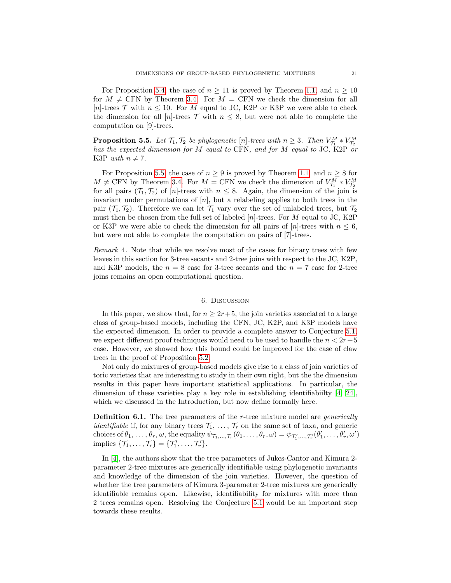For Proposition [5.4,](#page-19-1) the case of  $n \geq 11$  is proved by Theorem [1.1,](#page-2-0) and  $n \geq 10$ for  $M \neq CFN$  by Theorem [3.4.](#page-14-2) For  $M = CFN$  we check the dimension for all [n]-trees  $\mathcal T$  with  $n \leq 10$ . For M equal to JC, K2P or K3P we were able to check the dimension for all [n]-trees  $\mathcal T$  with  $n \leq 8$ , but were not able to complete the computation on [9]-trees.

<span id="page-20-0"></span>**Proposition 5.5.** Let  $\mathcal{T}_1, \mathcal{T}_2$  be phylogenetic  $[n]$ -trees with  $n \geq 3$ . Then  $V_{\mathcal{T}_1}^M * V_{\mathcal{T}_2}^M$  has the expected dimension for M equal to CFN, and for M equal to JC, K2P or K3P with  $n \neq 7$ .

For Proposition [5.5,](#page-20-0) the case of  $n \geq 9$  is proved by Theorem [1.1,](#page-2-0) and  $n \geq 8$  for  $M \neq CFN$  by Theorem [3.4.](#page-14-2) For  $M = CFN$  we check the dimension of  $V_{\tau_1}^M * V_{\tau_2}^M$ for all pairs  $(\mathcal{T}_1, \mathcal{T}_2)$  of  $[n]$ -trees with  $n \leq 8$ . Again, the dimension of the join is invariant under permutations of  $[n]$ , but a relabeling applies to both trees in the pair  $(\mathcal{T}_1, \mathcal{T}_2)$ . Therefore we can let  $\mathcal{T}_1$  vary over the set of unlabeled trees, but  $\mathcal{T}_2$ must then be chosen from the full set of labeled  $[n]$ -trees. For M equal to JC, K2P or K3P we were able to check the dimension for all pairs of  $[n]$ -trees with  $n \leq 6$ , but were not able to complete the computation on pairs of [7]-trees.

Remark 4. Note that while we resolve most of the cases for binary trees with few leaves in this section for 3-tree secants and 2-tree joins with respect to the JC, K2P, and K3P models, the  $n = 8$  case for 3-tree secants and the  $n = 7$  case for 2-tree joins remains an open computational question.

#### 6. Discussion

In this paper, we show that, for  $n \geq 2r+5$ , the join varieties associated to a large class of group-based models, including the CFN, JC, K2P, and K3P models have the expected dimension. In order to provide a complete answer to Conjecture [5.1,](#page-18-1) we expect different proof techniques would need to be used to handle the  $n < 2r+5$ case. However, we showed how this bound could be improved for the case of claw trees in the proof of Proposition [5.2.](#page-18-2)

Not only do mixtures of group-based models give rise to a class of join varieties of toric varieties that are interesting to study in their own right, but the the dimension results in this paper have important statistical applications. In particular, the dimension of these varieties play a key role in establishing identifiabiilty [\[4,](#page-22-13) [24\]](#page-22-14), which we discussed in the Introduction, but now define formally here.

**Definition 6.1.** The tree parameters of the *r*-tree mixture model are *generically identifiable* if, for any binary trees  $\mathcal{T}_1, \ldots, \mathcal{T}_r$  on the same set of taxa, and generic choices of  $\theta_1, \ldots, \theta_r, \omega$ , the equality  $\psi_{\mathcal{T}_1, \ldots, \mathcal{T}_r}(\theta_1, \ldots, \theta_r, \omega) = \psi_{\mathcal{T}'_1, \ldots, \mathcal{T}'_r}(\theta'_1, \ldots, \theta'_r, \omega')$ implies  $\{\mathcal{T}_1, \ldots, \mathcal{T}_r\} = \{\mathcal{T}'_1, \ldots, \mathcal{T}'_r\}.$ 

In [\[4\]](#page-22-13), the authors show that the tree parameters of Jukes-Cantor and Kimura 2 parameter 2-tree mixtures are generically identifiable using phylogenetic invariants and knowledge of the dimension of the join varieties. However, the question of whether the tree parameters of Kimura 3-parameter 2-tree mixtures are generically identifiable remains open. Likewise, identifiability for mixtures with more than 2 trees remains open. Resolving the Conjecture [5.1](#page-18-1) would be an important step towards these results.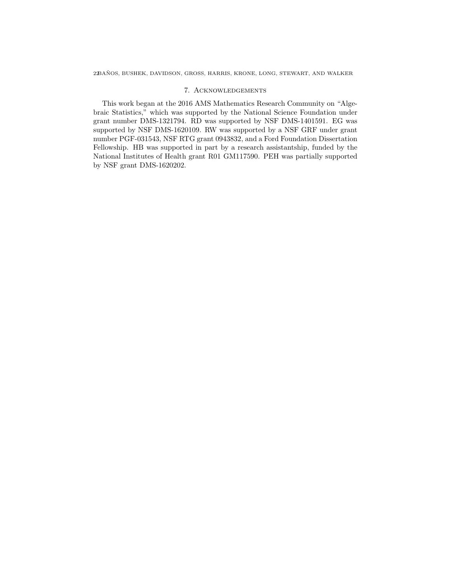## 7. Acknowledgements

This work began at the 2016 AMS Mathematics Research Community on "Algebraic Statistics," which was supported by the National Science Foundation under grant number DMS-1321794. RD was supported by NSF DMS-1401591. EG was supported by NSF DMS-1620109. RW was supported by a NSF GRF under grant number PGF-031543, NSF RTG grant 0943832, and a Ford Foundation Dissertation Fellowship. HB was supported in part by a research assistantship, funded by the National Institutes of Health grant R01 GM117590. PEH was partially supported by NSF grant DMS-1620202.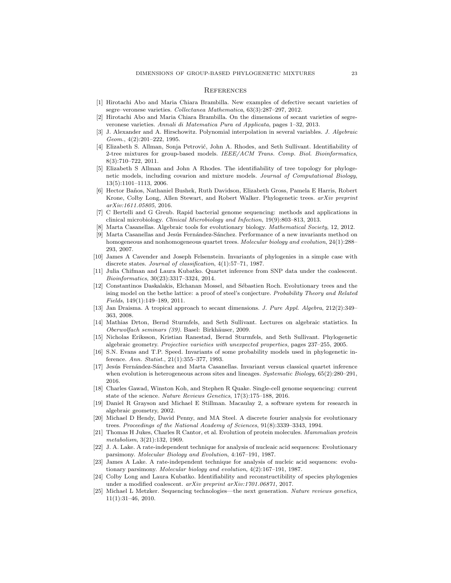#### **REFERENCES**

- <span id="page-22-20"></span>[1] Hirotachi Abo and Maria Chiara Brambilla. New examples of defective secant varieties of segre–veronese varieties. Collectanea Mathematica, 63(3):287–297, 2012.
- <span id="page-22-21"></span>[2] Hirotachi Abo and Maria Chiara Brambilla. On the dimensions of secant varieties of segreveronese varieties. Annali di Matematica Pura ed Applicata, pages 1–32, 2013.
- <span id="page-22-19"></span>[3] J. Alexander and A. Hirschowitz. Polynomial interpolation in several variables. J. Algebraic Geom., 4(2):201–222, 1995.
- <span id="page-22-13"></span>[4] Elizabeth S. Allman, Sonja Petrović, John A. Rhodes, and Seth Sullivant. Identifiability of 2-tree mixtures for group-based models. IEEE/ACM Trans. Comp. Biol. Bioinformatics, 8(3):710–722, 2011.
- <span id="page-22-11"></span>[5] Elizabeth S Allman and John A Rhodes. The identifiability of tree topology for phylogenetic models, including covarion and mixture models. Journal of Computational Biology, 13(5):1101–1113, 2006.
- <span id="page-22-24"></span>[6] Hector Ba˜nos, Nathaniel Bushek, Ruth Davidson, Elizabeth Gross, Pamela E Harris, Robert Krone, Colby Long, Allen Stewart, and Robert Walker. Phylogenetic trees. arXiv preprint arXiv:1611.05805, 2016.
- <span id="page-22-0"></span>[7] C Bertelli and G Greub. Rapid bacterial genome sequencing: methods and applications in clinical microbiology. Clinical Microbiology and Infection, 19(9):803–813, 2013.
- <span id="page-22-12"></span>[8] Marta Casanellas. Algebraic tools for evolutionary biology. Mathematical Society, 12, 2012.
- <span id="page-22-6"></span>[9] Marta Casanellas and Jesús Fernández-Sánchez. Performance of a new invariants method on homogeneous and nonhomogeneous quartet trees. Molecular biology and evolution, 24(1):288– 293, 2007.
- <span id="page-22-3"></span>[10] James A Cavender and Joseph Felsenstein. Invariants of phylogenies in a simple case with discrete states. Journal of classification, 4(1):57–71, 1987.
- <span id="page-22-7"></span>[11] Julia Chifman and Laura Kubatko. Quartet inference from SNP data under the coalescent. Bioinformatics, 30(23):3317–3324, 2014.
- <span id="page-22-16"></span>[12] Constantinos Daskalakis, Elchanan Mossel, and Sébastien Roch. Evolutionary trees and the ising model on the bethe lattice: a proof of steel's conjecture. Probability Theory and Related Fields, 149(1):149–189, 2011.
- <span id="page-22-22"></span>[13] Jan Draisma. A tropical approach to secant dimensions. J. Pure Appl. Algebra, 212(2):349– 363, 2008.
- <span id="page-22-9"></span>[14] Mathias Drton, Bernd Sturmfels, and Seth Sullivant. Lectures on algebraic statistics. In Oberwolfach seminars (39). Basel: Birkhäuser, 2009.
- <span id="page-22-10"></span>[15] Nicholas Eriksson, Kristian Ranestad, Bernd Sturmfels, and Seth Sullivant. Phylogenetic algebraic geometry. Projective varieties with unexpected properties, pages 237–255, 2005.
- <span id="page-22-15"></span>[16] S.N. Evans and T.P. Speed. Invariants of some probability models used in phylogenetic inference. Ann. Statist., 21(1):355–377, 1993.
- <span id="page-22-8"></span>[17] Jesús Fernández-Sánchez and Marta Casanellas. Invariant versus classical quartet inference when evolution is heterogeneous across sites and lineages. Systematic Biology, 65(2):280-291, 2016.
- <span id="page-22-1"></span>[18] Charles Gawad, Winston Koh, and Stephen R Quake. Single-cell genome sequencing: current state of the science. Nature Reviews Genetics, 17(3):175-188, 2016.
- <span id="page-22-23"></span>[19] Daniel R Grayson and Michael E Stillman. Macaulay 2, a software system for research in algebraic geometry, 2002.
- <span id="page-22-17"></span>[20] Michael D Hendy, David Penny, and MA Steel. A discrete fourier analysis for evolutionary trees. Proceedings of the National Academy of Sciences, 91(8):3339–3343, 1994.
- <span id="page-22-18"></span>[21] Thomas H Jukes, Charles R Cantor, et al. Evolution of protein molecules. Mammalian protein metabolism, 3(21):132, 1969.
- <span id="page-22-4"></span>[22] J. A. Lake. A rate-independent technique for analysis of nucleaic acid sequences: Evolutionary parsimony. Molecular Biology and Evolution, 4:167–191, 1987.
- <span id="page-22-5"></span>[23] James A Lake. A rate-independent technique for analysis of nucleic acid sequences: evolutionary parsimony. Molecular biology and evolution, 4(2):167–191, 1987.
- <span id="page-22-14"></span>[24] Colby Long and Laura Kubatko. Identifiability and reconstructibility of species phylogenies under a modified coalescent. arXiv preprint arXiv:1701.06871, 2017.
- <span id="page-22-2"></span>[25] Michael L Metzker. Sequencing technologies—the next generation. Nature reviews genetics, 11(1):31–46, 2010.